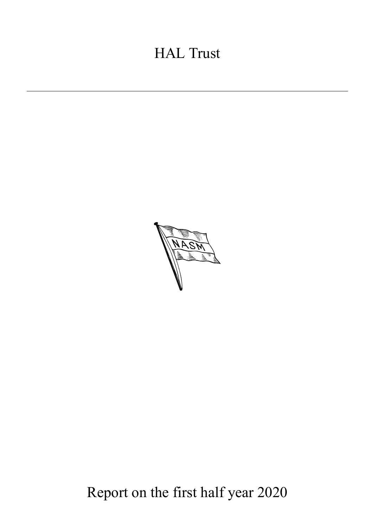# HAL Trust



Report on the first half year 2020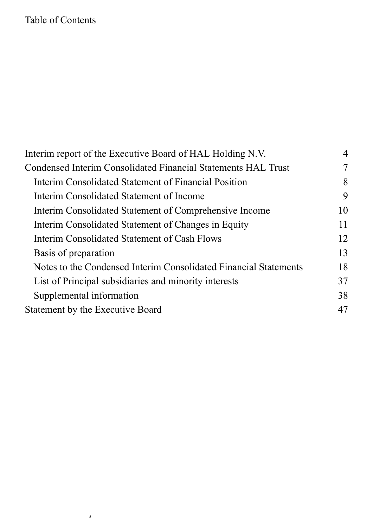| Interim report of the Executive Board of HAL Holding N.V.        |    |
|------------------------------------------------------------------|----|
| Condensed Interim Consolidated Financial Statements HAL Trust    | 7  |
| Interim Consolidated Statement of Financial Position             | 8  |
| Interim Consolidated Statement of Income                         | 9  |
| Interim Consolidated Statement of Comprehensive Income           | 10 |
| Interim Consolidated Statement of Changes in Equity              | 11 |
| Interim Consolidated Statement of Cash Flows                     | 12 |
| Basis of preparation                                             | 13 |
| Notes to the Condensed Interim Consolidated Financial Statements | 18 |
| List of Principal subsidiaries and minority interests            | 37 |
| Supplemental information                                         | 38 |
| Statement by the Executive Board                                 | 47 |
|                                                                  |    |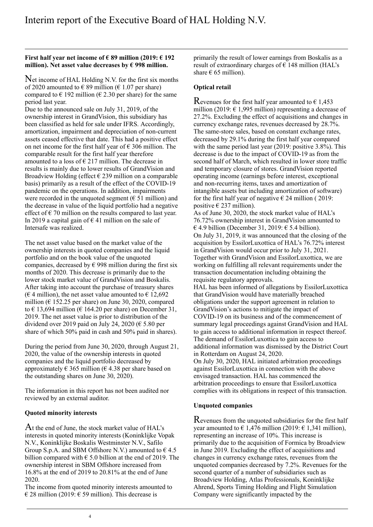### <span id="page-3-0"></span>**First half year net income of € 89 million (2019: € 192 million). Net asset value decreases by € 998 million.**

Net income of HAL Holding N.V. for the first six months of 2020 amounted to  $\epsilon$  89 million ( $\epsilon$  1.07 per share) compared to  $\epsilon$  192 million ( $\epsilon$  2.30 per share) for the same period last year.

Due to the announced sale on July 31, 2019, of the ownership interest in GrandVision, this subsidiary has been classified as held for sale under IFRS. Accordingly, amortization, impairment and depreciation of non-current assets ceased effective that date. This had a positive effect on net income for the first half year of  $\epsilon$  306 million. The comparable result for the first half year therefore amounted to a loss of  $\epsilon$  217 million. The decrease in results is mainly due to lower results of GrandVision and Broadview Holding (effect  $\epsilon$  239 million on a comparable basis) primarily as a result of the effect of the COVID-19 pandemic on the operations. In addition, impairments were recorded in the unquoted segment ( $\epsilon$  51 million) and the decrease in value of the liquid portfolio had a negative effect of  $\epsilon$  70 million on the results compared to last year. In 2019 a capital gain of  $\epsilon$  41 million on the sale of Intersafe was realized.

The net asset value based on the market value of the ownership interests in quoted companies and the liquid portfolio and on the book value of the unquoted companies, decreased by  $\epsilon$  998 million during the first six months of 2020. This decrease is primarily due to the lower stock market value of GrandVision and Boskalis. After taking into account the purchase of treasury shares ( $\epsilon$  4 million), the net asset value amounted to  $\epsilon$  12,692 million ( $\epsilon$  152.25 per share) on June 30, 2020, compared to  $\epsilon$  13,694 million ( $\epsilon$  164.20 per share) on December 31, 2019. The net asset value is prior to distribution of the dividend over 2019 paid on July 24, 2020 ( $\epsilon$  5.80 per share of which 50% paid in cash and 50% paid in shares).

During the period from June 30, 2020, through August 21, 2020, the value of the ownership interests in quoted companies and the liquid portfolio decreased by approximately  $\epsilon$  365 million ( $\epsilon$  4.38 per share based on the outstanding shares on June 30, 2020).

The information in this report has not been audited nor reviewed by an external auditor.

### **Quoted minority interests**

 $\rm{At}$  the end of June, the stock market value of HAL's interests in quoted minority interests (Koninklijke Vopak N.V., Koninklijke Boskalis Westminster N.V., Safilo Group S.p.A. and SBM Offshore N.V.) amounted to  $64.5$ billion compared with  $\epsilon$  5.0 billion at the end of 2019. The ownership interest in SBM Offshore increased from 16.8% at the end of 2019 to 20.81% at the end of June 2020.

The income from quoted minority interests amounted to  $\epsilon$  28 million (2019:  $\epsilon$  59 million). This decrease is

primarily the result of lower earnings from Boskalis as a result of extraordinary charges of  $\epsilon$  148 million (HAL's share  $\epsilon$  65 million).

### **Optical retail**

Revenues for the first half year amounted to  $\epsilon$  1,453 million (2019:  $\epsilon$  1,995 million) representing a decrease of 27.2%. Excluding the effect of acquisitions and changes in currency exchange rates, revenues decreased by 28.7%. The same-store sales, based on constant exchange rates, decreased by 29.1% during the first half year compared with the same period last year (2019: positive 3.8%). This decrease is due to the impact of COVID-19 as from the second half of March, which resulted in lower store traffic and temporary closure of stores. GrandVision reported operating income (earnings before interest, exceptional and non-recurring items, taxes and amortization of intangible assets but including amortization of software) for the first half year of negative  $\epsilon$  24 million (2019: positive  $\epsilon$  237 million).

As of June 30, 2020, the stock market value of HAL's 76.72% ownership interest in GrandVision amounted to  $64.9$  billion (December 31, 2019:  $65.4$  billion). On July 31, 2019, it was announced that the closing of the acquisition by EssilorLuxottica of HAL's 76.72% interest in GrandVision would occur prior to July 31, 2021. Together with GrandVision and EssilorLuxottica, we are working on fulfilling all relevant requirements under the transaction documentation including obtaining the requisite regulatory approvals.

HAL has been informed of allegations by EssilorLuxottica that GrandVision would have materially breached obligations under the support agreement in relation to GrandVision's actions to mitigate the impact of COVID-19 on its business and of the commencement of summary legal proceedings against GrandVision and HAL to gain access to additional information in respect thereof. The demand of EssilorLuxottica to gain access to additional information was dismissed by the District Court in Rotterdam on August 24, 2020.

On July 30, 2020, HAL initiated arbitration proceedings against EssilorLuxottica in connection with the above envisaged transaction. HAL has commenced the arbitration proceedings to ensure that EssilorLuxottica complies with its obligations in respect of this transaction.

### **Unquoted companies**

 $\mathbf R$  evenues from the unquoted subsidiaries for the first half year amounted to  $\epsilon$  1,476 million (2019:  $\epsilon$  1,341 million), representing an increase of 10%. This increase is primarily due to the acquisition of Formica by Broadview in June 2019. Excluding the effect of acquisitions and changes in currency exchange rates, revenues from the unquoted companies decreased by 7.2%. Revenues for the second quarter of a number of subsidiaries such as Broadview Holding, Atlas Professionals, Koninklijke Ahrend, Sports Timing Holding and Flight Simulation Company were significantly impacted by the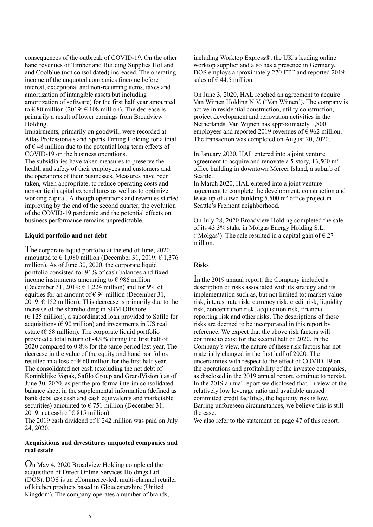consequences of the outbreak of COVID-19. On the other hand revenues of Timber and Building Supplies Holland and Coolblue (not consolidated) increased. The operating income of the unquoted companies (income before interest, exceptional and non-recurring items, taxes and amortization of intangible assets but including amortization of software) for the first half year amounted to  $\epsilon$  80 million (2019:  $\epsilon$  108 million). The decrease is primarily a result of lower earnings from Broadview Holding.

Impairments, primarily on goodwill, were recorded at Atlas Professionals and Sports Timing Holding for a total of  $\epsilon$  48 million due to the potential long term effects of COVID-19 on the business operations.

The subsidiaries have taken measures to preserve the health and safety of their employees and customers and the operations of their businesses. Measures have been taken, when appropriate, to reduce operating costs and non-critical capital expenditures as well as to optimize working capital. Although operations and revenues started improving by the end of the second quarter, the evolution of the COVID-19 pandemic and the potential effects on business performance remains unpredictable.

### **Liquid portfolio and net debt**

he corporate liquid portfolio at the end of June, 2020, T amounted to  $\epsilon$  1.080 million (December 31, 2019:  $\epsilon$  1.376 million). As of June 30, 2020, the corporate liquid portfolio consisted for 91% of cash balances and fixed income instruments amounting to  $\epsilon$  986 million (December 31, 2019:  $6$  1,224 million) and for 9% of equities for an amount of  $\epsilon$  94 million (December 31,  $2019: \text{ } \in 152 \text{ million}$ . This decrease is primarily due to the increase of the shareholding in SBM Offshore (€ 125 million), a subordinated loan provided to Safilo for acquisitions ( $6.90$  million) and investments in US real estate ( $\epsilon$  58 million). The corporate liquid portfolio provided a total return of -4.9% during the first half of 2020 compared to 0.8% for the same period last year. The decrease in the value of the equity and bond portfolios resulted in a loss of  $\epsilon$  60 million for the first half year. The consolidated net cash (excluding the net debt of Koninklijke Vopak, Safilo Group and GrandVision ) as of June 30, 2020, as per the pro forma interim consolidated balance sheet in the supplemental information (defined as bank debt less cash and cash equivalents and marketable securities) amounted to  $\epsilon$  751 million (December 31, 2019: net cash of  $\epsilon$  815 million).

The 2019 cash dividend of  $\epsilon$  242 million was paid on July 24, 2020.

### **Acquisitions and divestitures unquoted companies and real estate**

 $O_n$  May 4, 2020 Broadview Holding completed the acquisition of Direct Online Services Holdings Ltd. (DOS). DOS is an eCommerce-led, multi-channel retailer of kitchen products based in Gloucestershire (United Kingdom). The company operates a number of brands,

including Worktop Express®, the UK's leading online worktop supplier and also has a presence in Germany. DOS employs approximately 270 FTE and reported 2019 sales of  $\hat{\epsilon}$  44.5 million.

On June 3, 2020, HAL reached an agreement to acquire Van Wijnen Holding N.V. ('Van Wijnen'). The company is active in residential construction, utility construction, project development and renovation activities in the Netherlands. Van Wijnen has approximately 1,800 employees and reported 2019 revenues of  $\epsilon$  962 million. The transaction was completed on August 20, 2020.

In January 2020, HAL entered into a joint venture agreement to acquire and renovate a 5-story, 13,500 m² office building in downtown Mercer Island, a suburb of Seattle.

In March 2020, HAL entered into a joint venture agreement to complete the development, construction and lease-up of a two-building 5,500 m² office project in Seattle's Fremont neighborhood.

On July 28, 2020 Broadview Holding completed the sale of its 43.3% stake in Molgas Energy Holding S.L. ('Molgas'). The sale resulted in a capital gain of  $\epsilon$  27 million.

### **Risks**

In the 2019 annual report, the Company included a description of risks associated with its strategy and its implementation such as, but not limited to: market value risk, interest rate risk, currency risk, credit risk, liquidity risk, concentration risk, acquisition risk, financial reporting risk and other risks. The descriptions of these risks are deemed to be incorporated in this report by reference. We expect that the above risk factors will continue to exist for the second half of 2020. In the Company's view, the nature of these risk factors has not materially changed in the first half of 2020. The uncertainties with respect to the effect of COVID-19 on the operations and profitability of the investee companies, as disclosed in the 2019 annual report, continue to persist. In the 2019 annual report we disclosed that, in view of the relatively low leverage ratio and available unused committed credit facilities, the liquidity risk is low. Barring unforeseen circumstances, we believe this is still the case.

We also refer to the statement on page 47 of this report.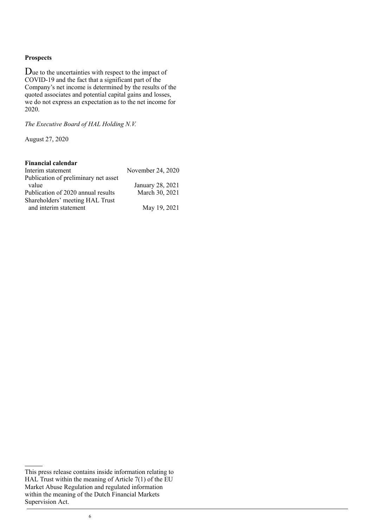### **Prospects**

 $\mathbf D$ ue to the uncertainties with respect to the impact of COVID-19 and the fact that a significant part of the Company's net income is determined by the results of the quoted associates and potential capital gains and losses, we do not express an expectation as to the net income for 2020.

*The Executive Board of HAL Holding N.V.*

August 27, 2020

### **Financial calendar**

| Interim statement                    | November 24, 2020 |
|--------------------------------------|-------------------|
| Publication of preliminary net asset |                   |
| value                                | January 28, 2021  |
| Publication of 2020 annual results   | March 30, 2021    |
| Shareholders' meeting HAL Trust      |                   |
| and interim statement                | May 19, 2021      |

This press release contains inside information relating to HAL Trust within the meaning of Article 7(1) of the EU Market Abuse Regulation and regulated information within the meaning of the Dutch Financial Markets Supervision Act.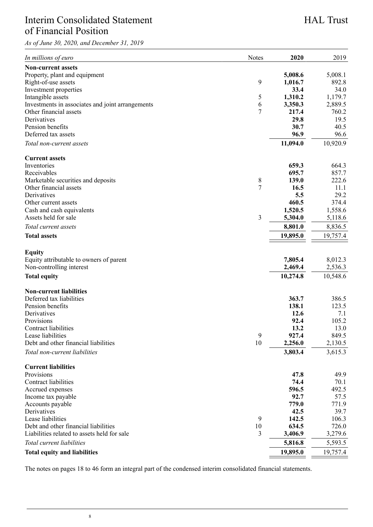# <span id="page-7-0"></span>Interim Consolidated Statement of Financial Position

*As of June 30, 2020, and December 31, 2019*

# HAL Trust

| In millions of euro                              | Notes          | 2020     | 2019     |
|--------------------------------------------------|----------------|----------|----------|
| Non-current assets                               |                |          |          |
| Property, plant and equipment                    |                | 5,008.6  | 5,008.1  |
| Right-of-use assets                              | 9              | 1,016.7  | 892.8    |
| Investment properties                            |                | 33.4     | 34.0     |
| Intangible assets                                | 5              | 1,310.2  | 1,179.7  |
| Investments in associates and joint arrangements | 6              | 3,350.3  | 2,889.5  |
| Other financial assets                           | 7              | 217.4    | 760.2    |
| Derivatives                                      |                | 29.8     | 19.5     |
| Pension benefits                                 |                | 30.7     | 40.5     |
| Deferred tax assets                              |                | 96.9     | 96.6     |
| Total non-current assets                         |                | 11,094.0 | 10,920.9 |
| <b>Current assets</b>                            |                |          |          |
| Inventories                                      |                | 659.3    | 664.3    |
| Receivables                                      |                | 695.7    | 857.7    |
| Marketable securities and deposits               | 8              | 139.0    | 222.6    |
| Other financial assets                           | $\overline{7}$ | 16.5     | 11.1     |
| Derivatives                                      |                | 5.5      | 29.2     |
| Other current assets                             |                | 460.5    | 374.4    |
| Cash and cash equivalents                        |                | 1,520.5  | 1,558.6  |
| Assets held for sale                             | 3              | 5,304.0  | 5,118.6  |
| Total current assets                             |                | 8,801.0  | 8,836.5  |
| <b>Total assets</b>                              |                | 19,895.0 | 19,757.4 |
|                                                  |                |          |          |
| Equity                                           |                |          |          |
| Equity attributable to owners of parent          |                | 7,805.4  | 8,012.3  |
| Non-controlling interest                         |                | 2,469.4  | 2,536.3  |
| <b>Total equity</b>                              |                | 10,274.8 | 10,548.6 |
| <b>Non-current liabilities</b>                   |                |          |          |
| Deferred tax liabilities                         |                | 363.7    | 386.5    |
| Pension benefits                                 |                | 138.1    | 123.5    |
| Derivatives                                      |                | 12.6     | 7.1      |
| Provisions                                       |                | 92.4     | 105.2    |
| Contract liabilities                             |                | 13.2     | 13.0     |
| Lease liabilities                                | 9              | 927.4    | 849.5    |
| Debt and other financial liabilities             | 10             | 2,256.0  | 2,130.5  |
| Total non-current liabilities                    |                | 3,803.4  | 3,615.3  |
|                                                  |                |          |          |
| <b>Current liabilities</b>                       |                |          |          |
| Provisions                                       |                | 47.8     | 49.9     |
| Contract liabilities                             |                | 74.4     | 70.1     |
| Accrued expenses                                 |                | 596.5    | 492.5    |
| Income tax payable                               |                | 92.7     | 57.5     |
| Accounts payable                                 |                | 779.0    | 771.9    |
| Derivatives                                      |                | 42.5     | 39.7     |
| Lease liabilities                                | 9              | 142.5    | 106.3    |
| Debt and other financial liabilities             | 10             | 634.5    | 726.0    |
| Liabilities related to assets held for sale      | 3              | 3,406.9  | 3,279.6  |
| Total current liabilities                        |                | 5,816.8  | 5,593.5  |
| <b>Total equity and liabilities</b>              |                | 19,895.0 | 19,757.4 |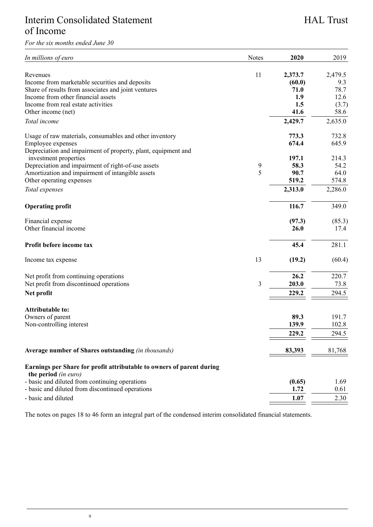# <span id="page-8-0"></span>Interim Consolidated Statement of Income

*For the six months ended June 30*

# HAL Trust

| In millions of euro                                                    | Notes | 2020    | 2019           |
|------------------------------------------------------------------------|-------|---------|----------------|
| Revenues                                                               | 11    | 2,373.7 | 2,479.5        |
| Income from marketable securities and deposits                         |       | (60.0)  | 9.3            |
| Share of results from associates and joint ventures                    |       | 71.0    | 78.7           |
| Income from other financial assets                                     |       | 1.9     | 12.6           |
| Income from real estate activities                                     |       | 1.5     | (3.7)          |
| Other income (net)                                                     |       | 41.6    | 58.6           |
| Total income                                                           |       | 2,429.7 | 2,635.0        |
| Usage of raw materials, consumables and other inventory                |       | 773.3   | 732.8          |
| Employee expenses                                                      |       | 674.4   | 645.9          |
| Depreciation and impairment of property, plant, equipment and          |       |         |                |
| investment properties                                                  |       | 197.1   | 214.3          |
| Depreciation and impairment of right-of-use assets                     | 9     | 58.3    | 54.2           |
| Amortization and impairment of intangible assets                       | 5     | 90.7    | 64.0           |
| Other operating expenses                                               |       | 519.2   | 574.8          |
| Total expenses                                                         |       | 2,313.0 | 2,286.0        |
| <b>Operating profit</b>                                                |       | 116.7   | 349.0          |
| Financial expense                                                      |       | (97.3)  | (85.3)         |
| Other financial income                                                 |       | 26.0    | 17.4           |
| Profit before income tax                                               |       | 45.4    | 281.1          |
| Income tax expense                                                     | 13    | (19.2)  | (60.4)         |
| Net profit from continuing operations                                  |       | 26.2    | 220.7          |
| Net profit from discontinued operations                                | 3     | 203.0   | 73.8           |
| Net profit                                                             |       | 229.2   | 294.5          |
|                                                                        |       |         |                |
| Attributable to:                                                       |       | 89.3    |                |
| Owners of parent                                                       |       | 139.9   | 191.7<br>102.8 |
| Non-controlling interest                                               |       |         |                |
|                                                                        |       | 229.2   | 294.5          |
| Average number of Shares outstanding (in thousands)                    |       | 83,393  | 81,768         |
| Earnings per Share for profit attributable to owners of parent during  |       |         |                |
| the period (in euro)<br>- basic and diluted from continuing operations |       | (0.65)  | 1.69           |
| - basic and diluted from discontinued operations                       |       | 1.72    | 0.61           |
| - basic and diluted                                                    |       | 1.07    | 2.30           |
|                                                                        |       |         |                |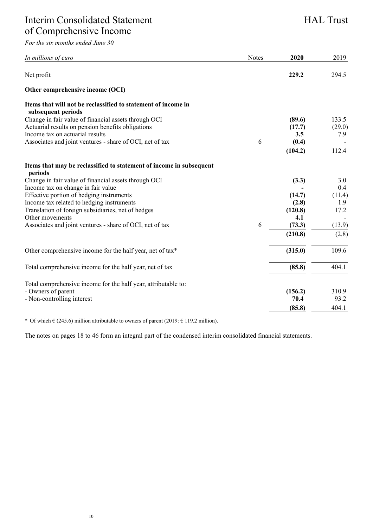<span id="page-9-0"></span>*For the six months ended June 30*

| In millions of euro                                                                 | Notes | 2020    | 2019   |
|-------------------------------------------------------------------------------------|-------|---------|--------|
| Net profit                                                                          |       | 229.2   | 294.5  |
| Other comprehensive income (OCI)                                                    |       |         |        |
| Items that will not be reclassified to statement of income in<br>subsequent periods |       |         |        |
| Change in fair value of financial assets through OCI                                |       | (89.6)  | 133.5  |
| Actuarial results on pension benefits obligations                                   |       | (17.7)  | (29.0) |
| Income tax on actuarial results                                                     |       | 3.5     | 7.9    |
| Associates and joint ventures - share of OCI, net of tax                            | 6     | (0.4)   |        |
|                                                                                     |       | (104.2) | 112.4  |
| Items that may be reclassified to statement of income in subsequent<br>periods      |       |         |        |
| Change in fair value of financial assets through OCI                                |       | (3.3)   | 3.0    |
| Income tax on change in fair value                                                  |       |         | 0.4    |
| Effective portion of hedging instruments                                            |       | (14.7)  | (11.4) |
| Income tax related to hedging instruments                                           |       | (2.8)   | 1.9    |
| Translation of foreign subsidiaries, net of hedges                                  |       | (120.8) | 17.2   |
| Other movements                                                                     |       | 4.1     |        |
| Associates and joint ventures - share of OCI, net of tax                            | 6     | (73.3)  | (13.9) |
|                                                                                     |       | (210.8) | (2.8)  |
| Other comprehensive income for the half year, net of tax*                           |       | (315.0) | 109.6  |
| Total comprehensive income for the half year, net of tax                            |       | (85.8)  | 404.1  |
|                                                                                     |       |         |        |
| Total comprehensive income for the half year, attributable to:                      |       |         |        |
| - Owners of parent                                                                  |       | (156.2) | 310.9  |
| - Non-controlling interest                                                          |       | 70.4    | 93.2   |
|                                                                                     |       | (85.8)  | 404.1  |
|                                                                                     |       |         |        |

\* Of which  $\epsilon$  (245.6) million attributable to owners of parent (2019:  $\epsilon$  119.2 million).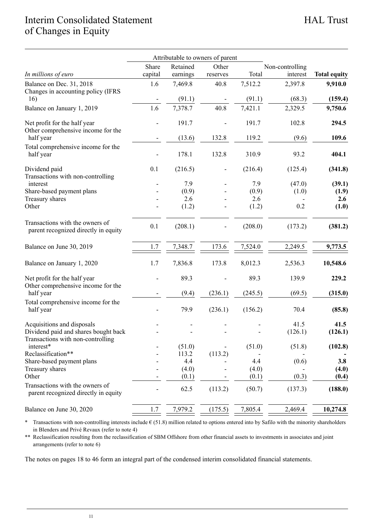# <span id="page-10-0"></span>Interim Consolidated Statement of Changes in Equity

|                                                                           |                | Attributable to owners of parent |          |         |                 |                     |
|---------------------------------------------------------------------------|----------------|----------------------------------|----------|---------|-----------------|---------------------|
|                                                                           | Share          | Retained                         | Other    |         | Non-controlling |                     |
| In millions of euro                                                       | capital        | earnings                         | reserves | Total   | interest        | <b>Total equity</b> |
| Balance on Dec. 31, 2018<br>Changes in accounting policy (IFRS            | 1.6            | 7,469.8                          | 40.8     | 7,512.2 | 2,397.8         | 9,910.0             |
| 16)                                                                       |                | (91.1)                           |          | (91.1)  | (68.3)          | (159.4)             |
| Balance on January 1, 2019                                                | 1.6            | 7,378.7                          | 40.8     | 7,421.1 | 2,329.5         | 9,750.6             |
| Net profit for the half year<br>Other comprehensive income for the        |                | 191.7                            |          | 191.7   | 102.8           | 294.5               |
| half year                                                                 |                | (13.6)                           | 132.8    | 119.2   | (9.6)           | 109.6               |
| Total comprehensive income for the<br>half year                           |                | 178.1                            | 132.8    | 310.9   | 93.2            | 404.1               |
| Dividend paid<br>Transactions with non-controlling                        | 0.1            | (216.5)                          |          | (216.4) | (125.4)         | (341.8)             |
| interest                                                                  |                | 7.9                              |          | 7.9     | (47.0)          | (39.1)              |
| Share-based payment plans                                                 |                | (0.9)                            |          | (0.9)   | (1.0)           | (1.9)               |
| Treasury shares                                                           |                | 2.6                              |          | 2.6     |                 | 2.6                 |
| Other                                                                     |                | (1.2)                            |          | (1.2)   | 0.2             | (1.0)               |
| Transactions with the owners of<br>parent recognized directly in equity   | 0.1            | (208.1)                          |          | (208.0) | (173.2)         | (381.2)             |
| Balance on June 30, 2019                                                  | 1.7            | 7,348.7                          | 173.6    | 7,524.0 | 2,249.5         | 9,773.5             |
| Balance on January 1, 2020                                                | 1.7            | 7,836.8                          | 173.8    | 8,012.3 | 2,536.3         | 10,548.6            |
| Net profit for the half year<br>Other comprehensive income for the        |                | 89.3                             |          | 89.3    | 139.9           | 229.2               |
| half year                                                                 |                | (9.4)                            | (236.1)  | (245.5) | (69.5)          | (315.0)             |
| Total comprehensive income for the<br>half year                           |                | 79.9                             | (236.1)  | (156.2) | 70.4            | (85.8)              |
| Acquisitions and disposals                                                |                | $\overline{a}$                   |          |         | 41.5            | 41.5                |
| Dividend paid and shares bought back<br>Transactions with non-controlling |                |                                  |          |         | (126.1)         | (126.1)             |
| interest*<br>Reclassification**                                           | $\overline{a}$ | (51.0)<br>113.2                  | (113.2)  | (51.0)  | (51.8)          | (102.8)             |
| Share-based payment plans                                                 |                | 4.4                              |          | 4.4     | (0.6)           | 3.8                 |
| Treasury shares                                                           |                | (4.0)                            |          | (4.0)   |                 | (4.0)               |
| Other                                                                     |                | (0.1)                            |          | (0.1)   | (0.3)           | (0.4)               |
| Transactions with the owners of<br>parent recognized directly in equity   | $\overline{a}$ | 62.5                             | (113.2)  | (50.7)  | (137.3)         | (188.0)             |
| Balance on June 30, 2020                                                  | 1.7            | 7,979.2                          | (175.5)  | 7,805.4 | 2,469.4         | 10,274.8            |

\* Transactions with non-controlling interests include € (51.8) million related to options entered into by Safilo with the minority shareholders in Blenders and Privé Revaux (refer to note 4)

\*\* Reclassification resulting from the reclassification of SBM Offshore from other financial assets to investments in associates and joint arrangements (refer to note 6)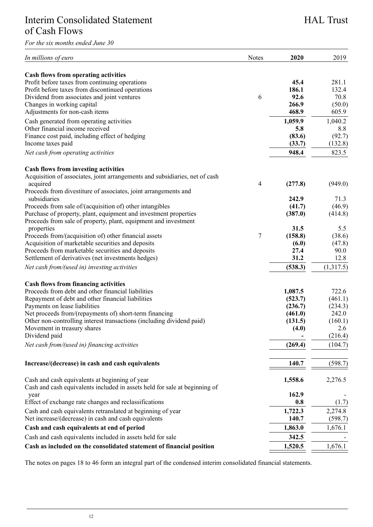# <span id="page-11-0"></span>Interim Consolidated Statement of Cash Flows

*For the six months ended June 30*

| In millions of euro                                                         | Notes | 2020    | 2019      |
|-----------------------------------------------------------------------------|-------|---------|-----------|
| <b>Cash flows from operating activities</b>                                 |       |         |           |
| Profit before taxes from continuing operations                              |       | 45.4    | 281.1     |
| Profit before taxes from discontinued operations                            |       | 186.1   | 132.4     |
|                                                                             | 6     | 92.6    | 70.8      |
| Dividend from associates and joint ventures                                 |       | 266.9   |           |
| Changes in working capital                                                  |       |         | (50.0)    |
| Adjustments for non-cash items                                              |       | 468.9   | 605.9     |
| Cash generated from operating activities                                    |       | 1,059.9 | 1,040.2   |
| Other financial income received                                             |       | 5.8     | 8.8       |
| Finance cost paid, including effect of hedging                              |       | (83.6)  | (92.7)    |
| Income taxes paid                                                           |       | (33.7)  | (132.8)   |
| Net cash from operating activities                                          |       | 948.4   | 823.5     |
| <b>Cash flows from investing activities</b>                                 |       |         |           |
| Acquisition of associates, joint arrangements and subsidiaries, net of cash |       |         |           |
| acquired                                                                    | 4     | (277.8) | (949.0)   |
| Proceeds from divestiture of associates, joint arrangements and             |       |         |           |
| subsidiaries                                                                |       | 242.9   | 71.3      |
| Proceeds from sale of/(acquisition of) other intangibles                    |       | (41.7)  | (46.9)    |
| Purchase of property, plant, equipment and investment properties            |       | (387.0) | (414.8)   |
| Proceeds from sale of property, plant, equipment and investment             |       |         |           |
| properties                                                                  |       | 31.5    | 5.5       |
| Proceeds from/(acquisition of) other financial assets                       | 7     | (158.8) | (38.6)    |
| Acquisition of marketable securities and deposits                           |       | (6.0)   | (47.8)    |
| Proceeds from marketable securities and deposits                            |       | 27.4    | 90.0      |
| Settlement of derivatives (net investments hedges)                          |       | 31.2    | 12.8      |
| Net cash from/(used in) investing activities                                |       | (538.3) | (1,317.5) |
| <b>Cash flows from financing activities</b>                                 |       |         |           |
| Proceeds from debt and other financial liabilities                          |       | 1,087.5 | 722.6     |
| Repayment of debt and other financial liabilities                           |       | (523.7) | (461.1)   |
| Payments on lease liabilities                                               |       | (236.7) | (234.3)   |
| Net proceeds from/(repayments of) short-term financing                      |       | (461.0) | 242.0     |
| Other non-controlling interest transactions (including dividend paid)       |       | (131.5) | (160.1)   |
| Movement in treasury shares                                                 |       | (4.0)   | 2.6       |
| Dividend paid                                                               |       |         | (216.4)   |
|                                                                             |       |         |           |
| Net cash from/(used in) financing activities                                |       | (269.4) | (104.7)   |
| Increase/(decrease) in cash and cash equivalents                            |       | 140.7   | (598.7)   |
|                                                                             |       |         |           |
| Cash and cash equivalents at beginning of year                              |       | 1,558.6 | 2,276.5   |
| Cash and cash equivalents included in assets held for sale at beginning of  |       |         |           |
| year                                                                        |       | 162.9   |           |
| Effect of exchange rate changes and reclassifications                       |       | 0.8     | (1.7)     |
| Cash and cash equivalents retranslated at beginning of year                 |       | 1,722.3 | 2.274.8   |
| Net increase/(decrease) in cash and cash equivalents                        |       | 140.7   | (598.7)   |
| Cash and cash equivalents at end of period                                  |       | 1,863.0 | 1,676.1   |
| Cash and cash equivalents included in assets held for sale                  |       | 342.5   |           |
| Cash as included on the consolidated statement of financial position        |       | 1,520.5 | 1,676.1   |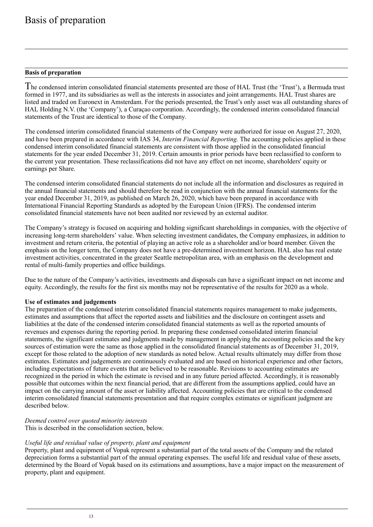### <span id="page-12-0"></span>**Basis of preparation**

he condensed interim consolidated financial statements presented are those of HAL Trust (the 'Trust'), a Bermuda trust T formed in 1977, and its subsidiaries as well as the interests in associates and joint arrangements. HAL Trust shares are listed and traded on Euronext in Amsterdam. For the periods presented, the Trust's only asset was all outstanding shares of HAL Holding N.V. (the 'Company'), a Curaçao corporation. Accordingly, the condensed interim consolidated financial statements of the Trust are identical to those of the Company.

The condensed interim consolidated financial statements of the Company were authorized for issue on August 27, 2020, and have been prepared in accordance with IAS 34, *Interim Financial Reporting.* The accounting policies applied in these condensed interim consolidated financial statements are consistent with those applied in the consolidated financial statements for the year ended December 31, 2019. Certain amounts in prior periods have been reclassified to conform to the current year presentation. These reclassifications did not have any effect on net income, shareholders' equity or earnings per Share.

The condensed interim consolidated financial statements do not include all the information and disclosures as required in the annual financial statements and should therefore be read in conjunction with the annual financial statements for the year ended December 31, 2019, as published on March 26, 2020, which have been prepared in accordance with International Financial Reporting Standards as adopted by the European Union (IFRS). The condensed interim consolidated financial statements have not been audited nor reviewed by an external auditor.

The Company's strategy is focused on acquiring and holding significant shareholdings in companies, with the objective of increasing long-term shareholders' value. When selecting investment candidates, the Company emphasizes, in addition to investment and return criteria, the potential of playing an active role as a shareholder and/or board member. Given the emphasis on the longer term, the Company does not have a pre-determined investment horizon. HAL also has real estate investment activities, concentrated in the greater Seattle metropolitan area, with an emphasis on the development and rental of multi-family properties and office buildings.

Due to the nature of the Company's activities, investments and disposals can have a significant impact on net income and equity. Accordingly, the results for the first six months may not be representative of the results for 2020 as a whole.

### **Use of estimates and judgements**

The preparation of the condensed interim consolidated financial statements requires management to make judgements, estimates and assumptions that affect the reported assets and liabilities and the disclosure on contingent assets and liabilities at the date of the condensed interim consolidated financial statements as well as the reported amounts of revenues and expenses during the reporting period. In preparing these condensed consolidated interim financial statements, the significant estimates and judgments made by management in applying the accounting policies and the key sources of estimation were the same as those applied in the consolidated financial statements as of December 31, 2019, except for those related to the adoption of new standards as noted below. Actual results ultimately may differ from those estimates. Estimates and judgements are continuously evaluated and are based on historical experience and other factors, including expectations of future events that are believed to be reasonable. Revisions to accounting estimates are recognized in the period in which the estimate is revised and in any future period affected. Accordingly, it is reasonably possible that outcomes within the next financial period, that are different from the assumptions applied, could have an impact on the carrying amount of the asset or liability affected. Accounting policies that are critical to the condensed interim consolidated financial statements presentation and that require complex estimates or significant judgment are described below.

*Deemed control over quoted minority interests*

This is described in the consolidation section, below.

### *Useful life and residual value of property, plant and equipment*

Property, plant and equipment of Vopak represent a substantial part of the total assets of the Company and the related depreciation forms a substantial part of the annual operating expenses. The useful life and residual value of these assets, determined by the Board of Vopak based on its estimations and assumptions, have a major impact on the measurement of property, plant and equipment.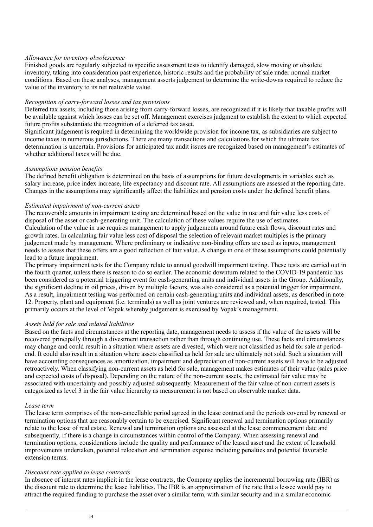### *Allowance for inventory obsolescence*

Finished goods are regularly subjected to specific assessment tests to identify damaged, slow moving or obsolete inventory, taking into consideration past experience, historic results and the probability of sale under normal market conditions. Based on these analyses, management asserts judgement to determine the write-downs required to reduce the value of the inventory to its net realizable value.

### *Recognition of carry-forward losses and tax provisions*

Deferred tax assets, including those arising from carry-forward losses, are recognized if it is likely that taxable profits will be available against which losses can be set off. Management exercises judgment to establish the extent to which expected future profits substantiate the recognition of a deferred tax asset.

Significant judgement is required in determining the worldwide provision for income tax, as subsidiaries are subject to income taxes in numerous jurisdictions. There are many transactions and calculations for which the ultimate tax determination is uncertain. Provisions for anticipated tax audit issues are recognized based on management's estimates of whether additional taxes will be due.

### *Assumptions pension benefits*

The defined benefit obligation is determined on the basis of assumptions for future developments in variables such as salary increase, price index increase, life expectancy and discount rate. All assumptions are assessed at the reporting date. Changes in the assumptions may significantly affect the liabilities and pension costs under the defined benefit plans.

### *Estimated impairment of non-current assets*

The recoverable amounts in impairment testing are determined based on the value in use and fair value less costs of disposal of the asset or cash-generating unit. The calculation of these values require the use of estimates. Calculation of the value in use requires management to apply judgements around future cash flows, discount rates and growth rates. In calculating fair value less cost of disposal the selection of relevant market multiples is the primary judgement made by management. Where preliminary or indicative non-binding offers are used as inputs, management needs to assess that these offers are a good reflection of fair value. A change in one of these assumptions could potentially lead to a future impairment.

The primary impairment tests for the Company relate to annual goodwill impairment testing. These tests are carried out in the fourth quarter, unless there is reason to do so earlier. The economic downturn related to the COVID-19 pandemic has been considered as a potential triggering event for cash-generating units and individual assets in the Group. Additionally, the significant decline in oil prices, driven by multiple factors, was also considered as a potential trigger for impairment. As a result, impairment testing was performed on certain cash-generating units and individual assets, as described in note 12. Property, plant and equipment (i.e. terminals) as well as joint ventures are reviewed and, when required, tested. This primarily occurs at the level of Vopak whereby judgement is exercised by Vopak's management.

### *Assets held for sale and related liabilities*

Based on the facts and circumstances at the reporting date, management needs to assess if the value of the assets will be recovered principally through a divestment transaction rather than through continuing use. These facts and circumstances may change and could result in a situation where assets are divested, which were not classified as held for sale at periodend. It could also result in a situation where assets classified as held for sale are ultimately not sold. Such a situation will have accounting consequences as amortization, impairment and depreciation of non-current assets will have to be adjusted retroactively. When classifying non-current assets as held for sale, management makes estimates of their value (sales price and expected costs of disposal). Depending on the nature of the non-current assets, the estimated fair value may be associated with uncertainty and possibly adjusted subsequently. Measurement of the fair value of non-current assets is categorized as level 3 in the fair value hierarchy as measurement is not based on observable market data.

#### *Lease term*

The lease term comprises of the non-cancellable period agreed in the lease contract and the periods covered by renewal or termination options that are reasonably certain to be exercised. Significant renewal and termination options primarily relate to the lease of real estate. Renewal and termination options are assessed at the lease commencement date and subsequently, if there is a change in circumstances within control of the Company. When assessing renewal and termination options, considerations include the quality and performance of the leased asset and the extent of leasehold improvements undertaken, potential relocation and termination expense including penalties and potential favorable extension terms.

### *Discount rate applied to lease contracts*

In absence of interest rates implicit in the lease contracts, the Company applies the incremental borrowing rate (IBR) as the discount rate to determine the lease liabilities. The IBR is an approximation of the rate that a lessee would pay to attract the required funding to purchase the asset over a similar term, with similar security and in a similar economic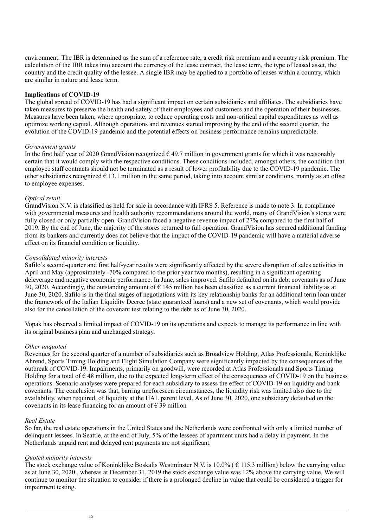environment. The IBR is determined as the sum of a reference rate, a credit risk premium and a country risk premium. The calculation of the IBR takes into account the currency of the lease contract, the lease term, the type of leased asset, the country and the credit quality of the lessee. A single IBR may be applied to a portfolio of leases within a country, which are similar in nature and lease term.

### **Implications of COVID-19**

The global spread of COVID-19 has had a significant impact on certain subsidiaries and affiliates. The subsidiaries have taken measures to preserve the health and safety of their employees and customers and the operation of their businesses. Measures have been taken, where appropriate, to reduce operating costs and non-critical capital expenditures as well as optimize working capital. Although operations and revenues started improving by the end of the second quarter, the evolution of the COVID-19 pandemic and the potential effects on business performance remains unpredictable.

#### *Government grants*

In the first half year of 2020 GrandVision recognized  $\epsilon$  49.7 million in government grants for which it was reasonably certain that it would comply with the respective conditions. These conditions included, amongst others, the condition that employee staff contracts should not be terminated as a result of lower profitability due to the COVID-19 pandemic. The other subsidiaries recognized  $\epsilon$  13.1 million in the same period, taking into account similar conditions, mainly as an offset to employee expenses.

### *Optical retail*

GrandVision N.V. is classified as held for sale in accordance with IFRS 5. Reference is made to note 3. In compliance with governmental measures and health authority recommendations around the world, many of GrandVision's stores were fully closed or only partially open. GrandVision faced a negative revenue impact of 27% compared to the first half of 2019. By the end of June, the majority of the stores returned to full operation. GrandVision has secured additional funding from its bankers and currently does not believe that the impact of the COVID-19 pandemic will have a material adverse effect on its financial condition or liquidity.

### *Consolidated minority interests*

Safilo's second-quarter and first half-year results were significantly affected by the severe disruption of sales activities in April and May (approximately -70% compared to the prior year two months), resulting in a significant operating deleverage and negative economic performance. In June, sales improved. Safilo defaulted on its debt covenants as of June 30, 2020. Accordingly, the outstanding amount of  $\epsilon$  145 million has been classified as a current financial liability as at June 30, 2020. Safilo is in the final stages of negotiations with its key relationship banks for an additional term loan under the framework of the Italian Liquidity Decree (state guaranteed loans) and a new set of covenants, which would provide also for the cancellation of the covenant test relating to the debt as of June 30, 2020.

Vopak has observed a limited impact of COVID-19 on its operations and expects to manage its performance in line with its original business plan and unchanged strategy.

### *Other unquoted*

Revenues for the second quarter of a number of subsidiaries such as Broadview Holding, Atlas Professionals, Koninklijke Ahrend, Sports Timing Holding and Flight Simulation Company were significantly impacted by the consequences of the outbreak of COVID-19. Impairments, primarily on goodwill, were recorded at Atlas Professionals and Sports Timing Holding for a total of  $\epsilon$  48 million, due to the expected long-term effect of the consequences of COVID-19 on the business operations. Scenario analyses were prepared for each subsidiary to assess the effect of COVID-19 on liquidity and bank covenants. The conclusion was that, barring uneforeseen circumstances, the liquidity risk was limited also due to the availability, when required, of liquidity at the HAL parent level. As of June 30, 2020, one subsidiary defaulted on the covenants in its lease financing for an amount of  $\epsilon$  39 million

#### *Real Estate*

So far, the real estate operations in the United States and the Netherlands were confronted with only a limited number of delinquent lessees. In Seattle, at the end of July, 5% of the lessees of apartment units had a delay in payment. In the Netherlands unpaid rent and delayed rent payments are not significant.

#### *Quoted minority interests*

The stock exchange value of Koninklijke Boskalis Westminster N.V. is  $10.0\%$  ( $\epsilon$  115.3 million) below the carrying value as at June 30, 2020 , whereas at December 31, 2019 the stock exchange value was 12% above the carrying value. We will continue to monitor the situation to consider if there is a prolonged decline in value that could be considered a trigger for impairment testing.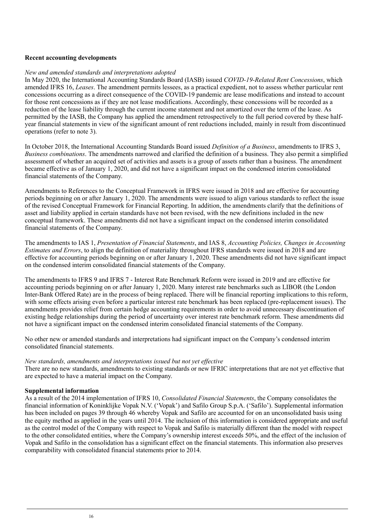### **Recent accounting developments**

### *New and amended standards and interpretations adopted*

In May 2020, the International Accounting Standards Board (IASB) issued *COVID-19-Related Rent Concessions*, which amended IFRS 16, *Leases*. The amendment permits lessees, as a practical expedient, not to assess whether particular rent concessions occurring as a direct consequence of the COVID-19 pandemic are lease modifications and instead to account for those rent concessions as if they are not lease modifications. Accordingly, these concessions will be recorded as a reduction of the lease liability through the current income statement and not amortized over the term of the lease. As permitted by the IASB, the Company has applied the amendment retrospectively to the full period covered by these halfyear financial statements in view of the significant amount of rent reductions included, mainly in result from discontinued operations (refer to note 3).

In October 2018, the International Accounting Standards Board issued *Definition of a Business*, amendments to IFRS 3, *Business combinations*. The amendments narrowed and clarified the definition of a business. They also permit a simplified assessment of whether an acquired set of activities and assets is a group of assets rather than a business. The amendment became effective as of January 1, 2020, and did not have a significant impact on the condensed interim consolidated financial statements of the Company.

Amendments to References to the Conceptual Framework in IFRS were issued in 2018 and are effective for accounting periods beginning on or after January 1, 2020. The amendments were issued to align various standards to reflect the issue of the revised Conceptual Framework for Financial Reporting. In addition, the amendments clarify that the definitions of asset and liability applied in certain standards have not been revised, with the new definitions included in the new conceptual framework. These amendments did not have a significant impact on the condensed interim consolidated financial statements of the Company.

The amendments to IAS 1, *Presentation of Financial Statements*, and IAS 8, *Accounting Policies, Changes in Accounting Estimates and Errors*, to align the definition of materiality throughout IFRS standards were issued in 2018 and are effective for accounting periods beginning on or after January 1, 2020. These amendments did not have significant impact on the condensed interim consolidated financial statements of the Company.

The amendments to IFRS 9 and IFRS 7 - Interest Rate Benchmark Reform were issued in 2019 and are effective for accounting periods beginning on or after January 1, 2020. Many interest rate benchmarks such as LIBOR (the London Inter-Bank Offered Rate) are in the process of being replaced. There will be financial reporting implications to this reform, with some effects arising even before a particular interest rate benchmark has been replaced (pre-replacement issues). The amendments provides relief from certain hedge accounting requirements in order to avoid unnecessary discontinuation of existing hedge relationships during the period of uncertainty over interest rate benchmark reform. These amendments did not have a significant impact on the condensed interim consolidated financial statements of the Company.

No other new or amended standards and interpretations had significant impact on the Company's condensed interim consolidated financial statements.

#### *New standards, amendments and interpretations issued but not yet effective*

There are no new standards, amendments to existing standards or new IFRIC interpretations that are not yet effective that are expected to have a material impact on the Company.

### **Supplemental information**

As a result of the 2014 implementation of IFRS 10, *Consolidated Financial Statements*, the Company consolidates the financial information of Koninklijke Vopak N.V. ('Vopak') and Safilo Group S.p.A. ('Safilo'). Supplemental information has been included on pages 39 through 46 whereby Vopak and Safilo are accounted for on an unconsolidated basis using the equity method as applied in the years until 2014. The inclusion of this information is considered appropriate and useful as the control model of the Company with respect to Vopak and Safilo is materially different than the model with respect to the other consolidated entities, where the Company's ownership interest exceeds 50%, and the effect of the inclusion of Vopak and Safilo in the consolidation has a significant effect on the financial statements. This information also preserves comparability with consolidated financial statements prior to 2014.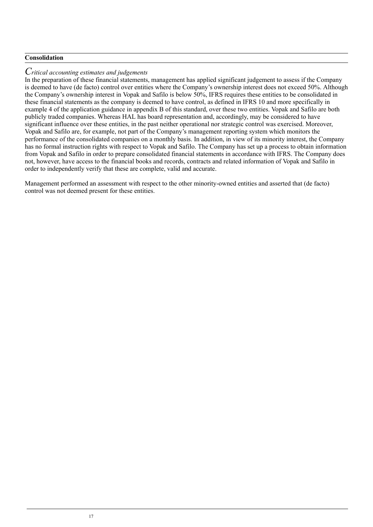### **Consolidation**

### $C$ ritical accounting estimates and judgements

In the preparation of these financial statements, management has applied significant judgement to assess if the Company is deemed to have (de facto) control over entities where the Company's ownership interest does not exceed 50%. Although the Company's ownership interest in Vopak and Safilo is below 50%, IFRS requires these entities to be consolidated in these financial statements as the company is deemed to have control, as defined in IFRS 10 and more specifically in example 4 of the application guidance in appendix B of this standard, over these two entities. Vopak and Safilo are both publicly traded companies. Whereas HAL has board representation and, accordingly, may be considered to have significant influence over these entities, in the past neither operational nor strategic control was exercised. Moreover, Vopak and Safilo are, for example, not part of the Company's management reporting system which monitors the performance of the consolidated companies on a monthly basis. In addition, in view of its minority interest, the Company has no formal instruction rights with respect to Vopak and Safilo. The Company has set up a process to obtain information from Vopak and Safilo in order to prepare consolidated financial statements in accordance with IFRS. The Company does not, however, have access to the financial books and records, contracts and related information of Vopak and Safilo in order to independently verify that these are complete, valid and accurate.

Management performed an assessment with respect to the other minority-owned entities and asserted that (de facto) control was not deemed present for these entities.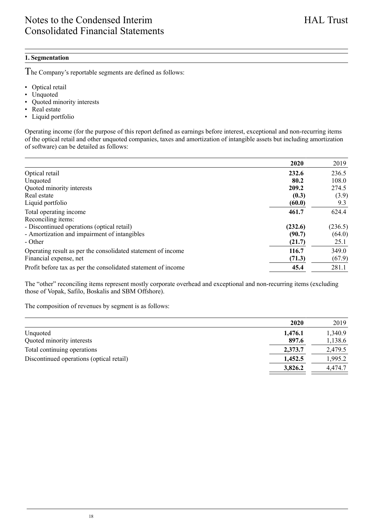### <span id="page-17-0"></span>**1. Segmentation**

he Company's reportable segments are defined as follows: T

- Optical retail<br>• Unquoted
- Unquoted<br>• Ouoted m
- Quoted minority interests
- Real estate
- Liquid portfolio

Operating income (for the purpose of this report defined as earnings before interest, exceptional and non-recurring items of the optical retail and other unquoted companies, taxes and amortization of intangible assets but including amortization of software) can be detailed as follows:

|                                                               | 2020    | 2019    |
|---------------------------------------------------------------|---------|---------|
| Optical retail                                                | 232.6   | 236.5   |
| Unquoted                                                      | 80.2    | 108.0   |
| Quoted minority interests                                     | 209.2   | 274.5   |
| Real estate                                                   | (0.3)   | (3.9)   |
| Liquid portfolio                                              | (60.0)  | 9.3     |
| Total operating income                                        | 461.7   | 624.4   |
| Reconciling items:                                            |         |         |
| - Discontinued operations (optical retail)                    | (232.6) | (236.5) |
| - Amortization and impairment of intangibles                  | (90.7)  | (64.0)  |
| - Other                                                       | (21.7)  | 25.1    |
| Operating result as per the consolidated statement of income  | 116.7   | 349.0   |
| Financial expense, net                                        | (71.3)  | (67.9)  |
| Profit before tax as per the consolidated statement of income | 45.4    | 281.1   |

The "other" reconciling items represent mostly corporate overhead and exceptional and non-recurring items (excluding those of Vopak, Safilo, Boskalis and SBM Offshore).

The composition of revenues by segment is as follows:

|                                          | 2020    | 2019    |
|------------------------------------------|---------|---------|
| Unquoted                                 | 1.476.1 | 1,340.9 |
| Quoted minority interests                | 897.6   | 1,138.6 |
| Total continuing operations              | 2.373.7 | 2,479.5 |
| Discontinued operations (optical retail) | 1.452.5 | 1,995.2 |
|                                          | 3.826.2 | 4,474.7 |

18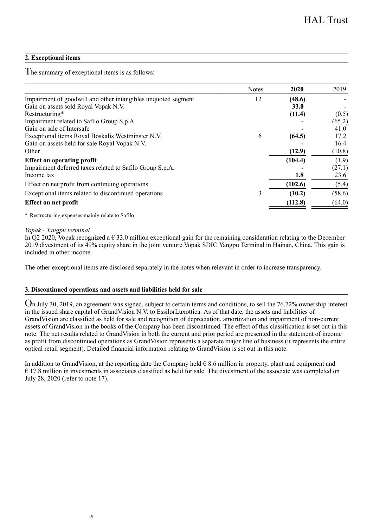### **2. Exceptional items**

The summary of exceptional items is as follows:

|                                                               | Notes | 2020    | 2019   |
|---------------------------------------------------------------|-------|---------|--------|
| Impairment of goodwill and other intangibles unquoted segment | 12    | (48.6)  |        |
| Gain on assets sold Royal Vopak N.V.                          |       | 33.0    |        |
| Restructuring*                                                |       | (11.4)  | (0.5)  |
| Impairment related to Safilo Group S.p.A.                     |       |         | (65.2) |
| Gain on sale of Intersafe                                     |       |         | 41.0   |
| Exceptional items Royal Boskalis Westminster N.V.             | 6     | (64.5)  | 17.2   |
| Gain on assets held for sale Royal Vopak N.V.                 |       |         | 16.4   |
| Other                                                         |       | (12.9)  | (10.8) |
| <b>Effect on operating profit</b>                             |       | (104.4) | (1.9)  |
| Impairment deferred taxes related to Safilo Group S.p.A.      |       |         | (27.1) |
| Income tax                                                    |       | 1.8     | 23.6   |
| Effect on net profit from continuing operations               |       | (102.6) | (5.4)  |
| Exceptional items related to discontinued operations          | 3     | (10.2)  | (58.6) |
| <b>Effect on net profit</b>                                   |       | (112.8) | (64.0) |
|                                                               |       |         |        |

\* Restructuring expenses mainly relate to Safilo

*Vopak - Yangpu terminal*

In Q2 2020, Vopak recognized a  $\epsilon$  33.0 million exceptional gain for the remaining consideration relating to the December 2019 divestment of its 49% equity share in the joint venture Vopak SDIC Yangpu Terminal in Hainan, China. This gain is included in other income.

The other exceptional items are disclosed separately in the notes when relevant in order to increase transparency.

### **3. Discontinued operations and assets and liabilities held for sale**

 $O$ n July 30, 2019, an agreement was signed, subject to certain terms and conditions, to sell the 76.72% ownership interest in the issued share capital of GrandVision N.V. to EssilorLuxottica. As of that date, the assets and liabilities of GrandVision are classified as held for sale and recognition of depreciation, amortization and impairment of non-current assets of GrandVision in the books of the Company has been discontinued. The effect of this classification is set out in this note. The net results related to GrandVision in both the current and prior period are presented in the statement of income as profit from discontinued operations as GrandVision represents a separate major line of business (it represents the entire optical retail segment). Detailed financial information relating to GrandVision is set out in this note.

In addition to GrandVision, at the reporting date the Company held  $\epsilon$  8.6 million in property, plant and equipment and  $\epsilon$  17.8 million in investments in associates classified as held for sale. The divestment of the associate was completed on July 28, 2020 (refer to note 17).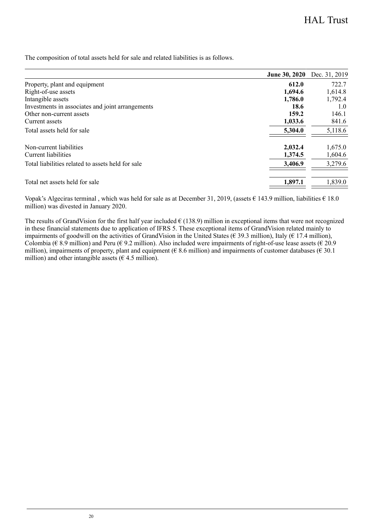The composition of total assets held for sale and related liabilities is as follows.

|                                                   | June 30, 2020 | Dec. 31, 2019 |
|---------------------------------------------------|---------------|---------------|
| Property, plant and equipment                     | 612.0         | 722.7         |
| Right-of-use assets                               | 1.694.6       | 1.614.8       |
| Intangible assets                                 | 1,786.0       | 1.792.4       |
| Investments in associates and joint arrangements  | 18.6          | 1.0           |
| Other non-current assets                          | 159.2         | 146.1         |
| Current assets                                    | 1.033.6       | 841.6         |
| Total assets held for sale                        | 5.304.0       | 5,118.6       |
| Non-current liabilities                           | 2.032.4       | 1,675.0       |
| Current liabilities                               | 1.374.5       | 1,604.6       |
| Total liabilities related to assets held for sale | 3,406.9       | 3,279.6       |
| Total net assets held for sale                    | 1.897.1       | 1.839.0       |
|                                                   |               |               |

Vopak's Algeciras terminal , which was held for sale as at December 31, 2019, (assets € 143.9 million, liabilities € 18.0 million) was divested in January 2020.

The results of GrandVision for the first half year included  $\epsilon$  (138.9) million in exceptional items that were not recognized in these financial statements due to application of IFRS 5. These exceptional items of GrandVision related mainly to impairments of goodwill on the activities of GrandVision in the United States ( $\epsilon$  39.3 million), Italy ( $\epsilon$  17.4 million), Colombia ( $\epsilon$  8.9 million) and Peru ( $\epsilon$  9.2 million). Also included were impairments of right-of-use lease assets ( $\epsilon$  20.9 million), impairments of property, plant and equipment ( $\epsilon$  8.6 million) and impairments of customer databases ( $\epsilon$  30.1 million) and other intangible assets  $(6.4.5 \text{ million})$ .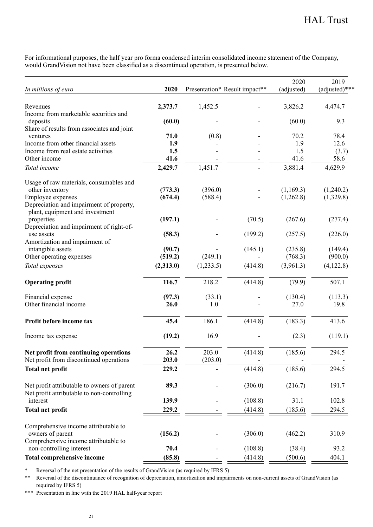For informational purposes, the half year pro forma condensed interim consolidated income statement of the Company, would GrandVision not have been classified as a discontinued operation, is presented below.

|                                                          |           |                               |         | 2020       | 2019          |
|----------------------------------------------------------|-----------|-------------------------------|---------|------------|---------------|
| In millions of euro                                      | 2020      | Presentation* Result impact** |         | (adjusted) | (adjusted)*** |
|                                                          |           |                               |         |            |               |
| Revenues<br>Income from marketable securities and        | 2,373.7   | 1,452.5                       |         | 3,826.2    | 4,474.7       |
| deposits                                                 | (60.0)    |                               |         | (60.0)     | 9.3           |
| Share of results from associates and joint               |           |                               |         |            |               |
| ventures                                                 | 71.0      | (0.8)                         |         | 70.2       | 78.4          |
| Income from other financial assets                       | 1.9       |                               |         | 1.9        | 12.6          |
| Income from real estate activities                       | 1.5       |                               |         | 1.5        | (3.7)         |
| Other income                                             | 41.6      |                               |         | 41.6       | 58.6          |
| Total income                                             | 2,429.7   | 1,451.7                       |         | 3,881.4    | 4,629.9       |
| Usage of raw materials, consumables and                  |           |                               |         |            |               |
| other inventory                                          | (773.3)   | (396.0)                       |         | (1,169.3)  | (1,240.2)     |
| Employee expenses                                        | (674.4)   | (588.4)                       |         | (1,262.8)  | (1,329.8)     |
| Depreciation and impairment of property,                 |           |                               |         |            |               |
| plant, equipment and investment                          |           |                               |         |            |               |
| properties                                               | (197.1)   |                               | (70.5)  | (267.6)    | (277.4)       |
| Depreciation and impairment of right-of-<br>use assets   |           |                               |         |            |               |
| Amortization and impairment of                           | (58.3)    |                               | (199.2) | (257.5)    | (226.0)       |
| intangible assets                                        | (90.7)    |                               | (145.1) | (235.8)    | (149.4)       |
| Other operating expenses                                 | (519.2)   | (249.1)                       |         | (768.3)    | (900.0)       |
| Total expenses                                           | (2,313.0) | (1,233.5)                     | (414.8) | (3,961.3)  | (4,122.8)     |
| <b>Operating profit</b>                                  | 116.7     | 218.2                         | (414.8) | (79.9)     | 507.1         |
| Financial expense                                        | (97.3)    | (33.1)                        |         | (130.4)    | (113.3)       |
| Other financial income                                   | 26.0      | 1.0                           |         | 27.0       | 19.8          |
|                                                          |           |                               |         |            |               |
| Profit before income tax                                 | 45.4      | 186.1                         | (414.8) | (183.3)    | 413.6         |
| Income tax expense                                       | (19.2)    | 16.9                          |         | (2.3)      | (119.1)       |
| Net profit from continuing operations                    | 26.2      | 203.0                         | (414.8) | (185.6)    | 294.5         |
| Net profit from discontinued operations                  | 203.0     | (203.0)                       |         |            |               |
| <b>Total net profit</b>                                  | 229.2     |                               | (414.8) | (185.6)    | 294.5         |
| Net profit attributable to owners of parent              | 89.3      |                               | (306.0) | (216.7)    | 191.7         |
| Net profit attributable to non-controlling               |           |                               |         |            |               |
| interest                                                 | 139.9     |                               | (108.8) | 31.1       | 102.8         |
| <b>Total net profit</b>                                  | 229.2     |                               | (414.8) | (185.6)    | 294.5         |
|                                                          |           |                               |         |            |               |
| Comprehensive income attributable to<br>owners of parent | (156.2)   |                               | (306.0) | (462.2)    | 310.9         |
| Comprehensive income attributable to                     |           |                               |         |            |               |
| non-controlling interest                                 | 70.4      |                               | (108.8) | (38.4)     | 93.2          |
| <b>Total comprehensive income</b>                        | (85.8)    |                               | (414.8) | (500.6)    | 404.1         |
|                                                          |           |                               |         |            |               |

\* Reversal of the net presentation of the results of GrandVision (as required by IFRS 5)

\*\* Reversal of the discontinuance of recognition of depreciation, amortization and impairments on non-current assets of GrandVision (as required by IFRS 5)

\*\*\* Presentation in line with the 2019 HAL half-year report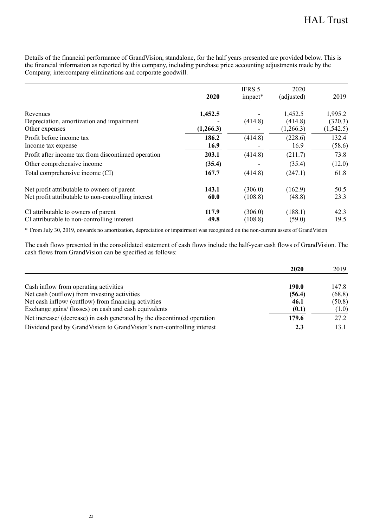Details of the financial performance of GrandVision, standalone, for the half years presented are provided below. This is the financial information as reported by this company, including purchase price accounting adjustments made by the Company, intercompany eliminations and corporate goodwill.

|                                                     | 2020      | IFRS 5<br>impact* | 2020<br>(adjusted) | 2019       |
|-----------------------------------------------------|-----------|-------------------|--------------------|------------|
|                                                     |           |                   |                    |            |
| Revenues                                            | 1,452.5   |                   | 1.452.5            | 1.995.2    |
| Depreciation, amortization and impairment           |           | (414.8)           | (414.8)            | (320.3)    |
| Other expenses                                      | (1,266.3) |                   | (1,266.3)          | (1, 542.5) |
| Profit before income tax                            | 186.2     | (414.8)           | (228.6)            | 132.4      |
| Income tax expense                                  | 16.9      |                   | 16.9               | (58.6)     |
| Profit after income tax from discontinued operation | 203.1     | (414.8)           | (211.7)            | 73.8       |
| Other comprehensive income                          | (35.4)    |                   | (35.4)             | (12.0)     |
| Total comprehensive income (CI)                     | 167.7     | (414.8)           | (247.1)            | 61.8       |
| Net profit attributable to owners of parent         | 143.1     | (306.0)           | (162.9)            | 50.5       |
| Net profit attributable to non-controlling interest | 60.0      | (108.8)           | (48.8)             | 23.3       |
| CI attributable to owners of parent                 | 117.9     | (306.0)           | (188.1)            | 42.3       |
| CI attributable to non-controlling interest         | 49.8      | (108.8)           | (59.0)             | 19.5       |

\* From July 30, 2019, onwards no amortization, depreciation or impairment was recognized on the non-current assets of GrandVision

The cash flows presented in the consolidated statement of cash flows include the half-year cash flows of GrandVision. The cash flows from GrandVision can be specified as follows:

|                                                                          | 2020   | 2019   |
|--------------------------------------------------------------------------|--------|--------|
|                                                                          |        |        |
| Cash inflow from operating activities                                    | 190.0  | 147.8  |
| Net cash (outflow) from investing activities                             | (56.4) | (68.8) |
| Net cash inflow/ (outflow) from financing activities                     | 46.1   | (50.8) |
| Exchange gains/ (losses) on cash and cash equivalents                    | (0.1)  | (1.0)  |
| Net increase/ (decrease) in cash generated by the discontinued operation | 179.6  | 27.2   |
| Dividend paid by GrandVision to GrandVision's non-controlling interest   | 2.3    | 13.1   |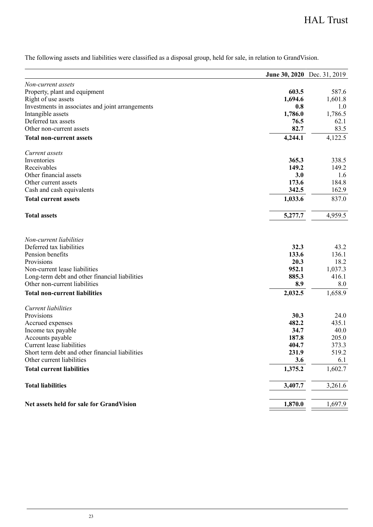# HAL Trust

The following assets and liabilities were classified as a disposal group, held for sale, in relation to GrandVision.

|                                                  |               | June 30, 2020 Dec. 31, 2019 |
|--------------------------------------------------|---------------|-----------------------------|
| Non-current assets                               |               |                             |
| Property, plant and equipment                    | 603.5         | 587.6                       |
| Right of use assets                              | 1,694.6       | 1,601.8                     |
| Investments in associates and joint arrangements | 0.8           | 1.0                         |
| Intangible assets                                | 1,786.0       | 1,786.5                     |
| Deferred tax assets                              | 76.5          | 62.1                        |
| Other non-current assets                         | 82.7          | 83.5                        |
| Total non-current assets                         | 4,244.1       | 4,122.5                     |
| Current assets                                   |               |                             |
| Inventories                                      | 365.3         | 338.5                       |
| Receivables                                      | 149.2         | 149.2                       |
| Other financial assets                           | 3.0           | 1.6                         |
| Other current assets                             | 173.6         | 184.8                       |
| Cash and cash equivalents                        | 342.5         | 162.9                       |
| <b>Total current assets</b>                      | 1,033.6       | 837.0                       |
| <b>Total assets</b>                              | 5,277.7       | 4,959.5                     |
| Non-current liabilities                          |               |                             |
| Deferred tax liabilities                         | 32.3          | 43.2                        |
| Pension benefits                                 | 133.6         | 136.1                       |
| Provisions                                       | 20.3          | 18.2                        |
| Non-current lease liabilities                    | 952.1         | 1,037.3                     |
| Long-term debt and other financial liabilities   | 885.3         | 416.1                       |
| Other non-current liabilities                    | 8.9           | 8.0                         |
| <b>Total non-current liabilities</b>             | 2,032.5       | 1,658.9                     |
| Current liabilities                              |               |                             |
| Provisions                                       | 30.3          | 24.0                        |
| Accrued expenses                                 | 482.2         | 435.1                       |
| Income tax payable                               | 34.7<br>187.8 | 40.0<br>205.0               |
| Accounts payable<br>Current lease liabilities    | 404.7         | 373.3                       |
| Short term debt and other financial liabilities  | 231.9         | 519.2                       |
| Other current liabilities                        | 3.6           | 6.1                         |
| <b>Total current liabilities</b>                 | 1,375.2       | 1,602.7                     |
|                                                  |               |                             |
| <b>Total liabilities</b>                         | 3,407.7       | 3,261.6                     |
| Net assets held for sale for GrandVision         | 1,870.0       | 1,697.9                     |
|                                                  |               |                             |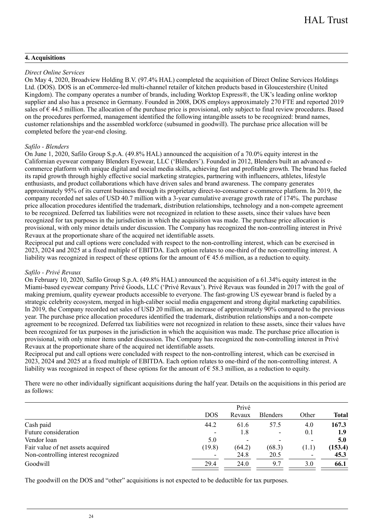### **4. Acquisitions**

### *Direct Online Services*

On May 4, 2020, Broadview Holding B.V. (97.4% HAL) completed the acquisition of Direct Online Services Holdings Ltd. (DOS). DOS is an eCommerce-led multi-channel retailer of kitchen products based in Gloucestershire (United Kingdom). The company operates a number of brands, including Worktop Express®, the UK's leading online worktop supplier and also has a presence in Germany. Founded in 2008, DOS employs approximately 270 FTE and reported 2019 sales of € 44.5 million. The allocation of the purchase price is provisional, only subject to final review procedures. Based on the procedures performed, management identified the following intangible assets to be recognized: brand names, customer relationships and the assembled workforce (subsumed in goodwill). The purchase price allocation will be completed before the year-end closing.

### *Safilo - Blenders*

On June 1, 2020, Safilo Group S.p.A. (49.8% HAL) announced the acquisition of a 70.0% equity interest in the Californian eyewear company Blenders Eyewear, LLC ('Blenders'). Founded in 2012, Blenders built an advanced ecommerce platform with unique digital and social media skills, achieving fast and profitable growth. The brand has fueled its rapid growth through highly effective social marketing strategies, partnering with influencers, athletes, lifestyle enthusiasts, and product collaborations which have driven sales and brand awareness. The company generates approximately 95% of its current business through its proprietary direct-to-consumer e-commerce platform. In 2019, the company recorded net sales of USD 40.7 million with a 3-year cumulative average growth rate of 174%. The purchase price allocation procedures identified the trademark, distribution relationships, technology and a non-compete agreement to be recognized. Deferred tax liabilities were not recognized in relation to these assets, since their values have been recognized for tax purposes in the jurisdiction in which the acquisition was made. The purchase price allocation is provisional, with only minor details under discussion. The Company has recognized the non-controlling interest in Privé Revaux at the proportionate share of the acquired net identifiable assets.

Reciprocal put and call options were concluded with respect to the non-controlling interest, which can be exercised in 2023, 2024 and 2025 at a fixed multiple of EBITDA. Each option relates to one-third of the non-controlling interest. A liability was recognized in respect of these options for the amount of  $\epsilon$  45.6 million, as a reduction to equity.

### *Safilo - Privé Revaux*

On February 10, 2020, Safilo Group S.p.A. (49.8% HAL) announced the acquisition of a 61.34% equity interest in the Miami-based eyewear company Privé Goods, LLC ('Privé Revaux'). Privé Revaux was founded in 2017 with the goal of making premium, quality eyewear products accessible to everyone. The fast-growing US eyewear brand is fueled by a strategic celebrity ecosystem, merged in high-caliber social media engagement and strong digital marketing capabilities. In 2019, the Company recorded net sales of USD 20 million, an increase of approximately 90% compared to the previous year. The purchase price allocation procedures identified the trademark, distribution relationships and a non-compete agreement to be recognized. Deferred tax liabilities were not recognized in relation to these assets, since their values have been recognized for tax purposes in the jurisdiction in which the acquisition was made. The purchase price allocation is provisional, with only minor items under discussion. The Company has recognized the non-controlling interest in Privé Revaux at the proportionate share of the acquired net identifiable assets.

Reciprocal put and call options were concluded with respect to the non-controlling interest, which can be exercised in 2023, 2024 and 2025 at a fixed multiple of EBITDA. Each option relates to one-third of the non-controlling interest. A liability was recognized in respect of these options for the amount of  $\epsilon$  58.3 million, as a reduction to equity.

There were no other individually significant acquisitions during the half year. Details on the acquisitions in this period are as follows:

|                                     | <b>DOS</b>               | Privé<br>Revaux          | <b>Blenders</b>          | Other                    | Total   |  |
|-------------------------------------|--------------------------|--------------------------|--------------------------|--------------------------|---------|--|
|                                     |                          |                          |                          |                          |         |  |
| Cash paid                           | 44.2                     | 61.6                     | 57.5                     | 4.0                      | 167.3   |  |
| Future consideration                | $\overline{\phantom{0}}$ | 1.8                      | $\overline{\phantom{a}}$ | 0.1                      | 1.9     |  |
| Vendor loan                         | 5.0                      | $\overline{\phantom{0}}$ |                          | $\overline{\phantom{a}}$ | 5.0     |  |
| Fair value of net assets acquired   | (19.8)                   | (64.2)                   | (68.3)                   | (1.1)                    | (153.4) |  |
| Non-controlling interest recognized |                          | 24.8                     | 20.5                     | $\overline{\phantom{a}}$ | 45.3    |  |
| Goodwill                            | 29.4                     | 24.0                     | 9.7                      | 3.0                      | 66.1    |  |
|                                     |                          |                          |                          |                          |         |  |

The goodwill on the DOS and "other" acquisitions is not expected to be deductible for tax purposes.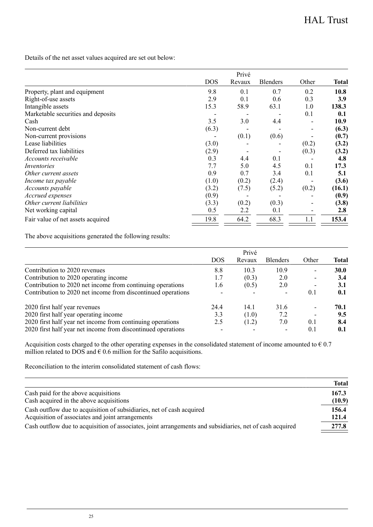Details of the net asset values acquired are set out below:

|                                    |            | Privé  |                 |       |        |
|------------------------------------|------------|--------|-----------------|-------|--------|
|                                    | <b>DOS</b> | Revaux | <b>Blenders</b> | Other | Total  |
| Property, plant and equipment      | 9.8        | 0.1    | 0.7             | 0.2   | 10.8   |
| Right-of-use assets                | 2.9        | 0.1    | 0.6             | 0.3   | 3.9    |
| Intangible assets                  | 15.3       | 58.9   | 63.1            | 1.0   | 138.3  |
| Marketable securities and deposits |            |        |                 | 0.1   | 0.1    |
| Cash                               | 3.5        | 3.0    | 4.4             |       | 10.9   |
| Non-current debt                   | (6.3)      |        |                 |       | (6.3)  |
| Non-current provisions             |            | (0.1)  | (0.6)           |       | (0.7)  |
| Lease liabilities                  | (3.0)      |        |                 | (0.2) | (3.2)  |
| Deferred tax liabilities           | (2.9)      |        |                 | (0.3) | (3.2)  |
| Accounts receivable                | 0.3        | 4.4    | 0.1             |       | 4.8    |
| Inventories                        | 7.7        | 5.0    | 4.5             | 0.1   | 17.3   |
| Other current assets               | 0.9        | 0.7    | 3.4             | 0.1   | 5.1    |
| Income tax payable                 | (1.0)      | (0.2)  | (2.4)           |       | (3.6)  |
| <i>Accounts payable</i>            | (3.2)      | (7.5)  | (5.2)           | (0.2) | (16.1) |
| Accrued expenses                   | (0.9)      |        |                 |       | (0.9)  |
| Other current liabilities          | (3.3)      | (0.2)  | (0.3)           |       | (3.8)  |
| Net working capital                | 0.5        | 2.2    | 0.1             |       | 2.8    |
| Fair value of net assets acquired  | 19.8       | 64.2   | 68.3            | 1.1   | 153.4  |

The above acquisitions generated the following results:

|                                                              |            | Privé  |                 |                          |       |
|--------------------------------------------------------------|------------|--------|-----------------|--------------------------|-------|
|                                                              | <b>DOS</b> | Revaux | <b>Blenders</b> | Other                    | Total |
| Contribution to 2020 revenues                                | 8.8        | 10.3   | 10.9            | $\overline{\phantom{a}}$ | 30.0  |
| Contribution to 2020 operating income                        | 1.7        | (0.3)  | 2.0             |                          | 3.4   |
| Contribution to 2020 net income from continuing operations   | 1.6        | (0.5)  | 2.0             |                          | 3.1   |
| Contribution to 2020 net income from discontinued operations |            |        |                 | 0.1                      | 0.1   |
| 2020 first half year revenues                                | 24.4       | 14.1   | 31.6            |                          | 70.1  |
| 2020 first half year operating income                        | 3.3        | (1.0)  | 7.2             |                          | 9.5   |
| 2020 first half year net income from continuing operations   | 2.5        | (1.2)  | 7.0             | 0.1                      | 8.4   |
| 2020 first half year net income from discontinued operations |            |        |                 | 0.1                      | 0.1   |

Acquisition costs charged to the other operating expenses in the consolidated statement of income amounted to  $\epsilon$  0.7 million related to DOS and  $\epsilon$  0.6 million for the Safilo acquisitions.

Reconciliation to the interim consolidated statement of cash flows:

|                                                                                                          | <b>Total</b> |
|----------------------------------------------------------------------------------------------------------|--------------|
| Cash paid for the above acquisitions                                                                     | 167.3        |
| Cash acquired in the above acquisitions                                                                  | (10.9)       |
| Cash outflow due to acquisition of subsidiaries, net of cash acquired                                    | 156.4        |
| Acquisition of associates and joint arrangements                                                         | 121.4        |
| Cash outflow due to acquisition of associates, joint arrangements and subsidiaries, net of cash acquired | 277.8        |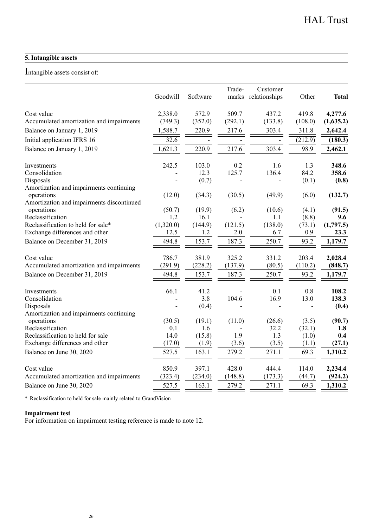### **5. Intangible assets**

### Intangible assets consist of:

|                                                                     | Goodwill  | Software | Trade-<br>marks | Customer<br>relationships | Other   | <b>Total</b> |
|---------------------------------------------------------------------|-----------|----------|-----------------|---------------------------|---------|--------------|
| Cost value                                                          | 2.338.0   | 572.9    | 509.7           | 437.2                     | 419.8   | 4,277.6      |
| Accumulated amortization and impairments                            | (749.3)   | (352.0)  | (292.1)         | (133.8)                   | (108.0) | (1,635.2)    |
| Balance on January 1, 2019                                          | 1,588.7   | 220.9    | 217.6           | 303.4                     | 311.8   | 2,642.4      |
| Initial application IFRS 16                                         | 32.6      |          |                 |                           | (212.9) | (180.3)      |
| Balance on January 1, 2019                                          | 1,621.3   | 220.9    | 217.6           | 303.4                     | 98.9    | 2,462.1      |
| Investments                                                         | 242.5     | 103.0    | 0.2             | 1.6                       | 1.3     | 348.6        |
| Consolidation                                                       |           | 12.3     | 125.7           | 136.4                     | 84.2    | 358.6        |
| Disposals<br>Amortization and impairments continuing                |           | (0.7)    |                 |                           | (0.1)   | (0.8)        |
| operations<br>Amortization and impairments discontinued             | (12.0)    | (34.3)   | (30.5)          | (49.9)                    | (6.0)   | (132.7)      |
| operations                                                          | (50.7)    | (19.9)   | (6.2)           | (10.6)                    | (4.1)   | (91.5)       |
| Reclassification                                                    | 1.2       | 16.1     |                 | 1.1                       | (8.8)   | 9.6          |
| Reclassification to held for sale*                                  | (1,320.0) | (144.9)  | (121.5)         | (138.0)                   | (73.1)  | (1,797.5)    |
| Exchange differences and other                                      | 12.5      | 1.2      | 2.0             | 6.7                       | 0.9     | 23.3         |
| Balance on December 31, 2019                                        | 494.8     | 153.7    | 187.3           | 250.7                     | 93.2    | 1,179.7      |
| Cost value                                                          | 786.7     | 381.9    | 325.2           | 331.2                     | 203.4   | 2,028.4      |
| Accumulated amortization and impairments                            | (291.9)   | (228.2)  | (137.9)         | (80.5)                    | (110.2) | (848.7)      |
| Balance on December 31, 2019                                        | 494.8     | 153.7    | 187.3           | 250.7                     | 93.2    | 1,179.7      |
| Investments                                                         | 66.1      | 41.2     |                 | 0.1                       | 0.8     | 108.2        |
| Consolidation                                                       |           | 3.8      | 104.6           | 16.9                      | 13.0    | 138.3        |
| Disposals<br>Amortization and impairments continuing                |           | (0.4)    |                 |                           |         | (0.4)        |
| operations                                                          | (30.5)    | (19.1)   | (11.0)          | (26.6)                    | (3.5)   | (90.7)       |
| Reclassification                                                    | 0.1       | 1.6      |                 | 32.2                      | (32.1)  | 1.8          |
| Reclassification to held for sale<br>Exchange differences and other | 14.0      | (15.8)   | 1.9             | 1.3                       | (1.0)   | 0.4          |
|                                                                     | (17.0)    | (1.9)    | (3.6)           | (3.5)                     | (1.1)   | (27.1)       |
| Balance on June 30, 2020                                            | 527.5     | 163.1    | 279.2           | 271.1                     | 69.3    | 1,310.2      |
| Cost value                                                          | 850.9     | 397.1    | 428.0           | 444.4                     | 114.0   | 2.234.4      |
| Accumulated amortization and impairments                            | (323.4)   | (234.0)  | (148.8)         | (173.3)                   | (44.7)  | (924.2)      |
| Balance on June 30, 2020                                            | 527.5     | 163.1    | 279.2           | 271.1                     | 69.3    | 1,310.2      |

\* Reclassification to held for sale mainly related to GrandVision

### **Impairment test**

For information on impairment testing reference is made to note 12.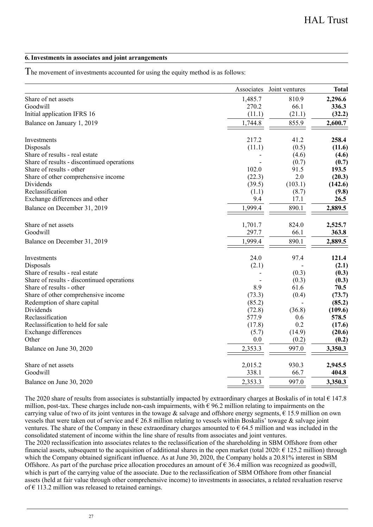### **6. Investments in associates and joint arrangements**

The movement of investments accounted for using the equity method is as follows:

|                                            | Associates | Joint ventures | <b>Total</b> |
|--------------------------------------------|------------|----------------|--------------|
| Share of net assets                        | 1,485.7    | 810.9          | 2,296.6      |
| Goodwill                                   | 270.2      | 66.1           | 336.3        |
| Initial application IFRS 16                | (11.1)     | (21.1)         | (32.2)       |
| Balance on January 1, 2019                 | 1,744.8    | 855.9          | 2,600.7      |
| Investments                                | 217.2      | 41.2           | 258.4        |
| Disposals                                  | (11.1)     | (0.5)          | (11.6)       |
| Share of results - real estate             |            | (4.6)          | (4.6)        |
| Share of results - discontinued operations |            | (0.7)          | (0.7)        |
| Share of results - other                   | 102.0      | 91.5           | 193.5        |
| Share of other comprehensive income        | (22.3)     | 2.0            | (20.3)       |
| Dividends                                  | (39.5)     | (103.1)        | (142.6)      |
| Reclassification                           | (1.1)      | (8.7)          | (9.8)        |
| Exchange differences and other             | 9.4        | 17.1           | 26.5         |
| Balance on December 31, 2019               | 1,999.4    | 890.1          | 2,889.5      |
| Share of net assets                        | 1,701.7    | 824.0          | 2,525.7      |
| Goodwill                                   | 297.7      | 66.1           | 363.8        |
| Balance on December 31, 2019               | 1,999.4    | 890.1          | 2,889.5      |
| Investments                                | 24.0       | 97.4           | 121.4        |
| Disposals                                  | (2.1)      |                | (2.1)        |
| Share of results - real estate             |            | (0.3)          | (0.3)        |
| Share of results - discontinued operations |            | (0.3)          | (0.3)        |
| Share of results - other                   | 8.9        | 61.6           | 70.5         |
| Share of other comprehensive income        | (73.3)     | (0.4)          | (73.7)       |
| Redemption of share capital                | (85.2)     |                | (85.2)       |
| Dividends                                  | (72.8)     | (36.8)         | (109.6)      |
| Reclassification                           | 577.9      | 0.6            | 578.5        |
| Reclassification to held for sale          | (17.8)     | 0.2            | (17.6)       |
| Exchange differences                       | (5.7)      | (14.9)         | (20.6)       |
| Other                                      | 0.0        | (0.2)          | (0.2)        |
| Balance on June 30, 2020                   | 2,353.3    | 997.0          | 3,350.3      |
| Share of net assets                        | 2,015.2    | 930.3          | 2,945.5      |
| Goodwill                                   | 338.1      | 66.7           | 404.8        |
| Balance on June 30, 2020                   | 2,353.3    | 997.0          | 3,350.3      |

The 2020 share of results from associates is substantially impacted by extraordinary charges at Boskalis of in total  $\epsilon$  147.8 million, post-tax. These charges include non-cash impairments, with  $\epsilon$  96.2 million relating to impairments on the carrying value of two of its joint ventures in the towage & salvage and offshore energy segments,  $\hat{\epsilon}$  15.9 million on own vessels that were taken out of service and  $\epsilon$  26.8 million relating to vessels within Boskalis' towage  $\&$  salvage joint ventures. The share of the Company in these extraordinary charges amounted to  $\epsilon$  64.5 million and was included in the consolidated statement of income within the line share of results from associates and joint ventures.

The 2020 reclassification into associates relates to the reclassification of the shareholding in SBM Offshore from other financial assets, subsequent to the acquisition of additional shares in the open market (total 2020:  $\epsilon$  125.2 million) through which the Company obtained significant influence. As at June 30, 2020, the Company holds a 20.81% interest in SBM Offshore. As part of the purchase price allocation procedures an amount of  $\epsilon$  36.4 million was recognized as goodwill, which is part of the carrying value of the associate. Due to the reclassification of SBM Offshore from other financial assets (held at fair value through other comprehensive income) to investments in associates, a related revaluation reserve of  $\epsilon$  113.2 million was released to retained earnings.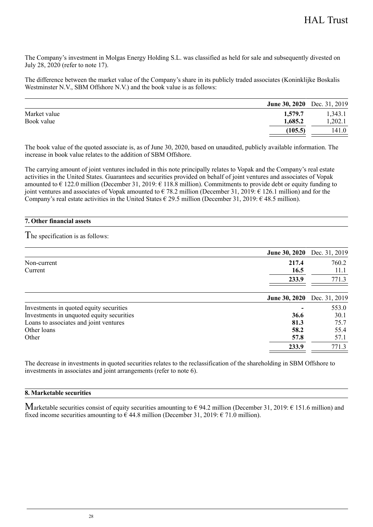The Company's investment in Molgas Energy Holding S.L. was classified as held for sale and subsequently divested on July 28, 2020 (refer to note 17).

The difference between the market value of the Company's share in its publicly traded associates (Koninklijke Boskalis Westminster N.V., SBM Offshore N.V.) and the book value is as follows:

|              | June 30, 2020 Dec. 31, 2019 |         |
|--------------|-----------------------------|---------|
| Market value | 1,579.7                     | 1,343.1 |
| Book value   | 1.685.2                     | .202.1  |
|              | (105.5)                     | 141.0   |

The book value of the quoted associate is, as of June 30, 2020, based on unaudited, publicly available information. The increase in book value relates to the addition of SBM Offshore.

The carrying amount of joint ventures included in this note principally relates to Vopak and the Company's real estate activities in the United States. Guarantees and securities provided on behalf of joint ventures and associates of Vopak amounted to  $\epsilon$  122.0 million (December 31, 2019:  $\epsilon$  118.8 million). Commitments to provide debt or equity funding to joint ventures and associates of Vopak amounted to € 78.2 million (December 31, 2019: € 126.1 million) and for the Company's real estate activities in the United States  $\epsilon$  29.5 million (December 31, 2019:  $\epsilon$  48.5 million).

### **7. Other financial assets**

he specification is as follows: T

| June 30, 2020 Dec. 31, 2019                       |               |
|---------------------------------------------------|---------------|
| 217.4<br>Non-current                              | 760.2         |
| 16.5<br>Current                                   | 11.1          |
| 233.9                                             | 771.3         |
| <b>June 30, 2020</b>                              | Dec. 31, 2019 |
| Investments in quoted equity securities           | 553.0         |
| Investments in unquoted equity securities<br>36.6 | 30.1          |
| Loans to associates and joint ventures<br>81.3    | 75.7          |
| Other loans<br>58.2                               | 55.4          |
| Other<br>57.8                                     | 57.1          |
| 233.9                                             | 771.3         |

The decrease in investments in quoted securities relates to the reclassification of the shareholding in SBM Offshore to investments in associates and joint arrangements (refer to note 6).

### **8. Marketable securities**

 $\rm{M}$ arketable securities consist of equity securities amounting to  $\rm{\epsilon}$  94.2 million (December 31, 2019:  $\rm{\epsilon}$  151.6 million) and fixed income securities amounting to  $\epsilon$  44.8 million (December 31, 2019:  $\epsilon$  71.0 million).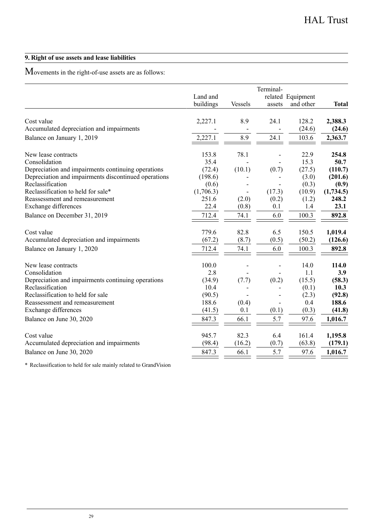### **9. Right of use assets and lease liabilities**

 $M$ ovements in the right-of-use assets are as follows:

|                                                      | Land and<br>buildings | <b>Vessels</b>           | Terminal-<br>assets | related Equipment<br>and other | Total     |
|------------------------------------------------------|-----------------------|--------------------------|---------------------|--------------------------------|-----------|
|                                                      |                       |                          |                     |                                |           |
| Cost value                                           | 2,227.1               | 8.9                      | 24.1                | 128.2                          | 2,388.3   |
| Accumulated depreciation and impairments             |                       |                          |                     | (24.6)                         | (24.6)    |
| Balance on January 1, 2019                           | 2,227.1               | 8.9                      | 24.1                | 103.6                          | 2,363.7   |
| New lease contracts                                  | 153.8                 | 78.1                     |                     | 22.9                           | 254.8     |
| Consolidation                                        | 35.4                  |                          |                     | 15.3                           | 50.7      |
| Depreciation and impairments continuing operations   | (72.4)                | (10.1)                   | (0.7)               | (27.5)                         | (110.7)   |
| Depreciation and impairments discontinued operations | (198.6)               |                          |                     | (3.0)                          | (201.6)   |
| Reclassification                                     | (0.6)                 |                          |                     | (0.3)                          | (0.9)     |
| Reclassification to held for sale*                   | (1,706.3)             | $\overline{\phantom{0}}$ | (17.3)              | (10.9)                         | (1,734.5) |
| Reassessment and remeasurement                       | 251.6                 | (2.0)                    | (0.2)               | (1.2)                          | 248.2     |
| Exchange differences                                 | 22.4                  | (0.8)                    | 0.1                 | 1.4                            | 23.1      |
| Balance on December 31, 2019                         | 712.4                 | 74.1                     | 6.0                 | 100.3                          | 892.8     |
| Cost value                                           | 779.6                 | 82.8                     | 6.5                 | 150.5                          | 1,019.4   |
| Accumulated depreciation and impairments             | (67.2)                | (8.7)                    | (0.5)               | (50.2)                         | (126.6)   |
| Balance on January 1, 2020                           | 712.4                 | 74.1                     | 6.0                 | 100.3                          | 892.8     |
| New lease contracts                                  | 100.0                 |                          |                     | 14.0                           | 114.0     |
| Consolidation                                        | 2.8                   |                          |                     | 1.1                            | 3.9       |
| Depreciation and impairments continuing operations   | (34.9)                | (7.7)                    | (0.2)               | (15.5)                         | (58.3)    |
| Reclassification                                     | 10.4                  |                          |                     | (0.1)                          | 10.3      |
| Reclassification to held for sale                    | (90.5)                |                          |                     | (2.3)                          | (92.8)    |
| Reassessment and remeasurement                       | 188.6                 | (0.4)                    |                     | 0.4                            | 188.6     |
| Exchange differences                                 | (41.5)                | 0.1                      | (0.1)               | (0.3)                          | (41.8)    |
| Balance on June 30, 2020                             | 847.3                 | 66.1                     | 5.7                 | 97.6                           | 1,016.7   |
| Cost value                                           | 945.7                 | 82.3                     | 6.4                 | 161.4                          | 1,195.8   |
| Accumulated depreciation and impairments             | (98.4)                | (16.2)                   | (0.7)               | (63.8)                         | (179.1)   |
| Balance on June 30, 2020                             | 847.3                 | 66.1                     | 5.7                 | 97.6                           | 1.016.7   |

\* Reclassification to held for sale mainly related to GrandVision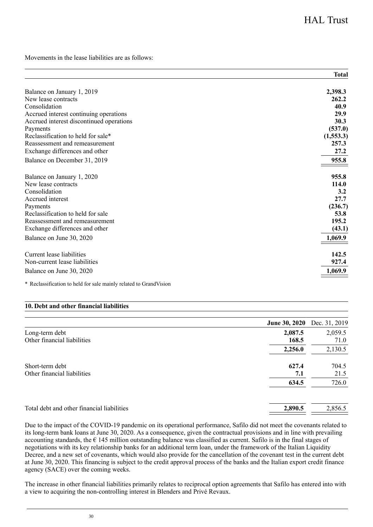Movements in the lease liabilities are as follows:

|                                          | <b>Total</b> |
|------------------------------------------|--------------|
| Balance on January 1, 2019               | 2,398.3      |
| New lease contracts                      | 262.2        |
| Consolidation                            | 40.9         |
| Accrued interest continuing operations   | 29.9         |
| Accrued interest discontinued operations | 30.3         |
| Payments                                 | (537.0)      |
| Reclassification to held for sale*       | (1,553.3)    |
| Reassessment and remeasurement           | 257.3        |
| Exchange differences and other           | 27.2         |
| Balance on December 31, 2019             | 955.8        |
| Balance on January 1, 2020               | 955.8        |
| New lease contracts                      | 114.0        |
| Consolidation                            | 3.2          |
| Accrued interest                         | 27.7         |
| Payments                                 | (236.7)      |
| Reclassification to held for sale        | 53.8         |
| Reassessment and remeasurement           | 195.2        |
| Exchange differences and other           | (43.1)       |
| Balance on June 30, 2020                 | 1,069.9      |
| Current lease liabilities                | 142.5        |
| Non-current lease liabilities            | 927.4        |
| Balance on June 30, 2020                 | 1,069.9      |

\* Reclassification to held for sale mainly related to GrandVision

### **10. Debt and other financial liabilities**

|                                                | <b>June 30, 2020</b> | Dec. 31, 2019 |
|------------------------------------------------|----------------------|---------------|
| Long-term debt                                 | 2,087.5              | 2,059.5       |
| Other financial liabilities                    | 168.5                | 71.0          |
|                                                | 2,256.0              | 2,130.5       |
| Short-term debt<br>Other financial liabilities | 627.4<br>7.1         | 704.5<br>21.5 |
|                                                | 634.5                | 726.0         |
| Total debt and other financial liabilities     | 2,890.5              | 2,856.5       |

Due to the impact of the COVID-19 pandemic on its operational performance, Safilo did not meet the covenants related to its long-term bank loans at June 30, 2020. As a consequence, given the contractual provisions and in line with prevailing accounting standards, the  $\epsilon$  145 million outstanding balance was classified as current. Safilo is in the final stages of negotiations with its key relationship banks for an additional term loan, under the framework of the Italian Liquidity Decree, and a new set of covenants, which would also provide for the cancellation of the covenant test in the current debt at June 30, 2020. This financing is subject to the credit approval process of the banks and the Italian export credit finance agency (SACE) over the coming weeks.

The increase in other financial liabilities primarily relates to reciprocal option agreements that Safilo has entered into with a view to acquiring the non-controlling interest in Blenders and Privé Revaux.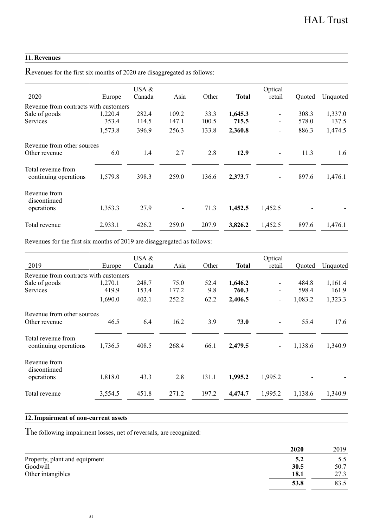### **11. Revenues**

Revenues for the first six months of 2020 are disaggregated as follows:

| 2020                                        | Europe  | USA $&$<br>Canada | Asia                     | Other | Total   | Optical<br>retail | Ouoted | Unquoted |
|---------------------------------------------|---------|-------------------|--------------------------|-------|---------|-------------------|--------|----------|
| Revenue from contracts with customers       |         |                   |                          |       |         |                   |        |          |
| Sale of goods                               | 1,220.4 | 282.4             | 109.2                    | 33.3  | 1,645.3 |                   | 308.3  | 1,337.0  |
| Services                                    | 353.4   | 114.5             | 147.1                    | 100.5 | 715.5   |                   | 578.0  | 137.5    |
|                                             | 1,573.8 | 396.9             | 256.3                    | 133.8 | 2,360.8 |                   | 886.3  | 1,474.5  |
| Revenue from other sources                  |         |                   |                          |       |         |                   |        |          |
| Other revenue                               | 6.0     | 1.4               | 2.7                      | 2.8   | 12.9    |                   | 11.3   | 1.6      |
| Total revenue from<br>continuing operations | 1,579.8 | 398.3             | 259.0                    | 136.6 | 2,373.7 |                   | 897.6  | 1,476.1  |
| Revenue from<br>discontinued                |         |                   |                          |       |         |                   |        |          |
| operations                                  | 1,353.3 | 27.9              | $\overline{\phantom{0}}$ | 71.3  | 1,452.5 | 1,452.5           |        |          |
| Total revenue                               | 2.933.1 | 426.2             | 259.0                    | 207.9 | 3.826.2 | 1.452.5           | 897.6  | 1.476.1  |

Revenues for the first six months of 2019 are disaggregated as follows:

|                                       |         | USA $&$ |       |       |         | Optical |         |          |
|---------------------------------------|---------|---------|-------|-------|---------|---------|---------|----------|
| 2019                                  | Europe  | Canada  | Asia  | Other | Total   | retail  | Ouoted  | Unquoted |
| Revenue from contracts with customers |         |         |       |       |         |         |         |          |
| Sale of goods                         | 1,270.1 | 248.7   | 75.0  | 52.4  | 1.646.2 |         | 484.8   | 1,161.4  |
| Services                              | 419.9   | 153.4   | 177.2 | 9.8   | 760.3   |         | 598.4   | 161.9    |
|                                       | 1,690.0 | 402.1   | 252.2 | 62.2  | 2,406.5 |         | 1,083.2 | 1,323.3  |
| Revenue from other sources            |         |         |       |       |         |         |         |          |
| Other revenue                         | 46.5    | 6.4     | 16.2  | 3.9   | 73.0    |         | 55.4    | 17.6     |
| Total revenue from                    |         |         |       |       |         |         |         |          |
| continuing operations                 | 1,736.5 | 408.5   | 268.4 | 66.1  | 2,479.5 |         | 1,138.6 | 1,340.9  |
| Revenue from<br>discontinued          |         |         |       |       |         |         |         |          |
| operations                            | 1,818.0 | 43.3    | 2.8   | 131.1 | 1.995.2 | 1.995.2 |         |          |
| Total revenue                         | 3,554.5 | 451.8   | 271.2 | 197.2 | 4,474.7 | 1,995.2 | 1,138.6 | 1.340.9  |

### **12. Impairment of non-current assets**

he following impairment losses, net of reversals, are recognized: T

|                               | 2020 | 2019 |
|-------------------------------|------|------|
| Property, plant and equipment | 5.2  | 5.5  |
| Goodwill                      | 30.5 | 50.7 |
| Other intangibles             | 18.1 | 27.3 |
|                               | 53.8 | 83.5 |
|                               |      |      |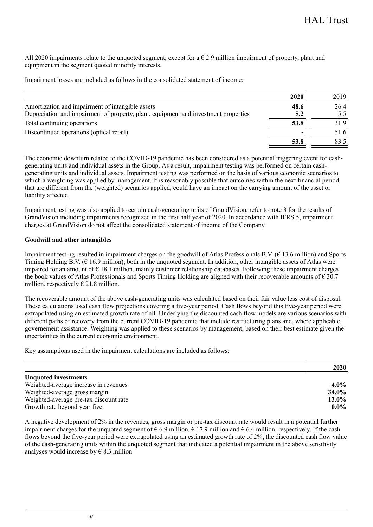All 2020 impairments relate to the unquoted segment, except for a  $\epsilon$  2.9 million impairment of property, plant and equipment in the segment quoted minority interests.

Impairment losses are included as follows in the consolidated statement of income:

|                                                                                     | 2020 | 2019 |
|-------------------------------------------------------------------------------------|------|------|
| Amortization and impairment of intangible assets                                    | 48.6 | 26.4 |
| Depreciation and impairment of property, plant, equipment and investment properties | 5.2  | 5.5  |
| Total continuing operations                                                         | 53.8 | 31.9 |
| Discontinued operations (optical retail)                                            |      | 51.6 |
|                                                                                     | 53.8 | 83.5 |
|                                                                                     |      |      |

The economic downturn related to the COVID-19 pandemic has been considered as a potential triggering event for cashgenerating units and individual assets in the Group. As a result, impairment testing was performed on certain cashgenerating units and individual assets. Impairment testing was performed on the basis of various economic scenarios to which a weighting was applied by management. It is reasonably possible that outcomes within the next financial period, that are different from the (weighted) scenarios applied, could have an impact on the carrying amount of the asset or liability affected.

Impairment testing was also applied to certain cash-generating units of GrandVision, refer to note 3 for the results of GrandVision including impairments recognized in the first half year of 2020. In accordance with IFRS 5, impairment charges at GrandVision do not affect the consolidated statement of income of the Company.

### **Goodwill and other intangibles**

Impairment testing resulted in impairment charges on the goodwill of Atlas Professionals B.V. (€ 13.6 million) and Sports Timing Holding B.V. (€ 16.9 million), both in the unquoted segment. In addition, other intangible assets of Atlas were impaired for an amount of € 18.1 million, mainly customer relationship databases. Following these impairment charges the book values of Atlas Professionals and Sports Timing Holding are aligned with their recoverable amounts of  $\epsilon$  30.7 million, respectively  $\epsilon$  21.8 million.

The recoverable amount of the above cash-generating units was calculated based on their fair value less cost of disposal. These calculations used cash flow projections covering a five-year period. Cash flows beyond this five-year period were extrapolated using an estimated growth rate of nil. Underlying the discounted cash flow models are various scenarios with different paths of recovery from the current COVID-19 pandemic that include restructuring plans and, where applicable, governement assistance. Weighting was applied to these scenarios by management, based on their best estimate given the uncertainties in the current economic environment.

Key assumptions used in the impairment calculations are included as follows:

|                                        | 2020    |
|----------------------------------------|---------|
| <b>Unquoted investments</b>            |         |
| Weighted-average increase in revenues  | $4.0\%$ |
| Weighted-average gross margin          | 34.0%   |
| Weighted-average pre-tax discount rate | 13.0%   |
| Growth rate beyond year five           | $0.0\%$ |

A negative development of 2% in the revenues, gross margin or pre-tax discount rate would result in a potential further impairment charges for the unquoted segment of  $\epsilon$  6.9 million,  $\epsilon$  17.9 million and  $\epsilon$  6.4 million, respectively. If the cash flows beyond the five-year period were extrapolated using an estimated growth rate of 2%, the discounted cash flow value of the cash-generating units within the unquoted segment that indicated a potential impairment in the above sensitivity analyses would increase by  $\epsilon$  8.3 million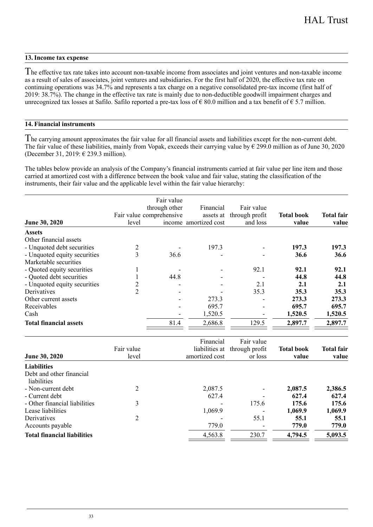### **13. Income tax expense**

he effective tax rate takes into account non-taxable income from associates and joint ventures and non-taxable income T as a result of sales of associates, joint ventures and subsidiaries. For the first half of 2020, the effective tax rate on continuing operations was 34.7% and represents a tax charge on a negative consolidated pre-tax income (first half of 2019: 38.7%). The change in the effective tax rate is mainly due to non-deductible goodwill impairment charges and unrecognized tax losses at Safilo. Safilo reported a pre-tax loss of  $\epsilon$  80.0 million and a tax benefit of  $\epsilon$  5.7 million.

### **14. Financial instruments**

The carrying amount approximates the fair value for all financial assets and liabilities except for the non-current debt. The fair value of these liabilities, mainly from Vopak, exceeds their carrying value by  $\epsilon$  299.0 million as of June 30, 2020 (December 31, 2019: € 239.3 million).

The tables below provide an analysis of the Company's financial instruments carried at fair value per line item and those carried at amortized cost with a difference between the book value and fair value, stating the classification of the instruments, their fair value and the applicable level within the fair value hierarchy:

| June 30, 2020                 | level          | Fair value<br>through other<br>Fair value comprehensive | Financial<br>assets at<br>income amortized cost | Fair value<br>through profit<br>and loss | <b>Total book</b><br>value | <b>Total fair</b><br>value |
|-------------------------------|----------------|---------------------------------------------------------|-------------------------------------------------|------------------------------------------|----------------------------|----------------------------|
| <b>Assets</b>                 |                |                                                         |                                                 |                                          |                            |                            |
| Other financial assets        |                |                                                         |                                                 |                                          |                            |                            |
| - Unquoted debt securities    |                |                                                         | 197.3                                           |                                          | 197.3                      | 197.3                      |
| - Unquoted equity securities  | 3              | 36.6                                                    |                                                 |                                          | 36.6                       | 36.6                       |
| Marketable securities         |                |                                                         |                                                 |                                          |                            |                            |
| - Quoted equity securities    |                |                                                         |                                                 | 92.1                                     | 92.1                       | 92.1                       |
| - Quoted debt securities      |                | 44.8                                                    |                                                 |                                          | 44.8                       | 44.8                       |
| - Unquoted equity securities  |                |                                                         |                                                 | 2.1                                      | 2.1                        | 2.1                        |
| Derivatives                   | $\overline{c}$ |                                                         |                                                 | 35.3                                     | 35.3                       | 35.3                       |
| Other current assets          |                |                                                         | 273.3                                           |                                          | 273.3                      | 273.3                      |
| Receivables                   |                |                                                         | 695.7                                           |                                          | 695.7                      | 695.7                      |
| Cash                          |                |                                                         | 1,520.5                                         |                                          | 1,520.5                    | 1,520.5                    |
| <b>Total financial assets</b> |                | 81.4                                                    | 2,686.8                                         | 129.5                                    | 2,897.7                    | 2,897.7                    |

| June 30, 2020                           | Fair value<br>level | Financial<br>amortized cost | Fair value<br>liabilities at through profit<br>or loss | <b>Total book</b><br>value | <b>Total fair</b><br>value |
|-----------------------------------------|---------------------|-----------------------------|--------------------------------------------------------|----------------------------|----------------------------|
| Liabilities                             |                     |                             |                                                        |                            |                            |
| Debt and other financial<br>liabilities |                     |                             |                                                        |                            |                            |
| - Non-current debt                      | 2                   | 2.087.5                     |                                                        | 2.087.5                    | 2,386.5                    |
| - Current debt                          |                     | 627.4                       |                                                        | 627.4                      | 627.4                      |
| - Other financial liabilities           | 3                   |                             | 175.6                                                  | 175.6                      | 175.6                      |
| Lease liabilities                       |                     | 1,069.9                     |                                                        | 1.069.9                    | 1,069.9                    |
| Derivatives                             | 2                   |                             | 55.1                                                   | 55.1                       | 55.1                       |
| Accounts payable                        |                     | 779.0                       |                                                        | 779.0                      | 779.0                      |
| <b>Total financial liabilities</b>      |                     | 4,563.8                     | 230.7                                                  | 4,794.5                    | 5,093.5                    |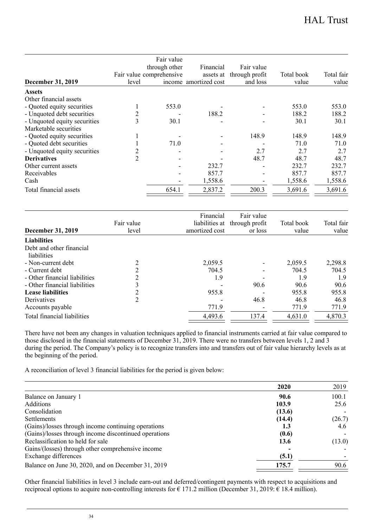| December 31, 2019            | level          | Fair value<br>through other<br>Fair value comprehensive | Financial<br>assets at<br>income amortized cost | Fair value<br>through profit<br>and loss | Total book<br>value | Total fair<br>value |
|------------------------------|----------------|---------------------------------------------------------|-------------------------------------------------|------------------------------------------|---------------------|---------------------|
| <b>Assets</b>                |                |                                                         |                                                 |                                          |                     |                     |
| Other financial assets       |                |                                                         |                                                 |                                          |                     |                     |
| - Quoted equity securities   |                | 553.0                                                   |                                                 |                                          | 553.0               | 553.0               |
| - Unquoted debt securities   | 2              |                                                         | 188.2                                           |                                          | 188.2               | 188.2               |
| - Unquoted equity securities | 3              | 30.1                                                    |                                                 |                                          | 30.1                | 30.1                |
| Marketable securities        |                |                                                         |                                                 |                                          |                     |                     |
| - Quoted equity securities   |                |                                                         |                                                 | 148.9                                    | 148.9               | 148.9               |
| - Quoted debt securities     |                | 71.0                                                    |                                                 |                                          | 71.0                | 71.0                |
| - Unquoted equity securities | 2              |                                                         |                                                 | 2.7                                      | 2.7                 | 2.7                 |
| <b>Derivatives</b>           | $\mathfrak{D}$ |                                                         |                                                 | 48.7                                     | 48.7                | 48.7                |
| Other current assets         |                |                                                         | 232.7                                           |                                          | 232.7               | 232.7               |
| Receivables                  |                |                                                         | 857.7                                           |                                          | 857.7               | 857.7               |
| Cash                         |                |                                                         | 1,558.6                                         |                                          | 1,558.6             | 1,558.6             |
| Total financial assets       |                | 654.1                                                   | 2,837.2                                         | 200.3                                    | 3,691.6             | 3,691.6             |

| December 31, 2019                       | Fair value<br>level | Financial<br>amortized cost | Fair value<br>liabilities at through profit<br>or loss | Total book<br>value | Total fair<br>value |
|-----------------------------------------|---------------------|-----------------------------|--------------------------------------------------------|---------------------|---------------------|
| <b>Liabilities</b>                      |                     |                             |                                                        |                     |                     |
| Debt and other financial<br>liabilities |                     |                             |                                                        |                     |                     |
| - Non-current debt                      | $\overline{c}$      | 2.059.5                     |                                                        | 2.059.5             | 2,298.8             |
| - Current debt                          | 2                   | 704.5                       |                                                        | 704.5               | 704.5               |
| - Other financial liabilities           | $\overline{c}$      | 1.9                         |                                                        | 1.9                 | 1.9                 |
| - Other financial liabilities           | 3                   |                             | 90.6                                                   | 90.6                | 90.6                |
| <b>Lease liabilities</b>                | 2                   | 955.8                       |                                                        | 955.8               | 955.8               |
| Derivatives                             | 2                   |                             | 46.8                                                   | 46.8                | 46.8                |
| Accounts payable                        |                     | 771.9                       |                                                        | 771.9               | 771.9               |
| Total financial liabilities             |                     | 4,493.6                     | 137.4                                                  | 4.631.0             | 4,870.3             |

There have not been any changes in valuation techniques applied to financial instruments carried at fair value compared to those disclosed in the financial statements of December 31, 2019. There were no transfers between levels 1, 2 and 3 during the period. The Company's policy is to recognize transfers into and transfers out of fair value hierarchy levels as at the beginning of the period.

A reconciliation of level 3 financial liabilities for the period is given below:

|                                                       | 2020   | 2019   |
|-------------------------------------------------------|--------|--------|
| Balance on January 1                                  | 90.6   | 100.1  |
| Additions                                             | 103.9  | 25.6   |
| Consolidation                                         | (13.6) |        |
| <b>Settlements</b>                                    | (14.4) | (26.7) |
| (Gains)/losses through income continuing operations   | 1.3    | 4.6    |
| (Gains)/losses through income discontinued operations | (0.6)  |        |
| Reclassification to held for sale                     | 13.6   | (13.0) |
| Gains/(losses) through other comprehensive income     |        |        |
| Exchange differences                                  | (5.1)  |        |
| Balance on June 30, 2020, and on December 31, 2019    | 175.7  | 90.6   |
|                                                       |        |        |

Other financial liabilities in level 3 include earn-out and deferred/contingent payments with respect to acquisitions and reciprocal options to acquire non-controlling interests for € 171.2 million (December 31, 2019: € 18.4 million).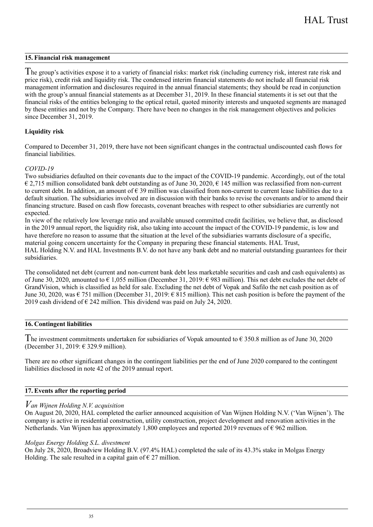### **15. Financial risk management**

The group's activities expose it to a variety of financial risks: market risk (including currency risk, interest rate risk and price risk), credit risk and liquidity risk. The condensed interim financial statements do not include all financial risk management information and disclosures required in the annual financial statements; they should be read in conjunction with the group's annual financial statements as at December 31, 2019. In these financial statements it is set out that the financial risks of the entities belonging to the optical retail, quoted minority interests and unquoted segments are managed by these entities and not by the Company. There have been no changes in the risk management objectives and policies since December 31, 2019.

### **Liquidity risk**

Compared to December 31, 2019, there have not been significant changes in the contractual undiscounted cash flows for financial liabilities.

### *COVID-19*

Two subsidiaries defaulted on their covenants due to the impact of the COVID-19 pandemic. Accordingly, out of the total  $\epsilon$  2,715 million consolidated bank debt outstanding as of June 30, 2020,  $\epsilon$  145 million was reclassified from non-current to current debt. In addition, an amount of  $\epsilon$  39 million was classified from non-current to current lease liabilities due to a default situation. The subsidiaries involved are in discussion with their banks to revise the covenants and/or to amend their financing structure. Based on cash flow forecasts, covenant breaches with respect to other subsidiaries are currently not expected.

In view of the relatively low leverage ratio and available unused committed credit facilities, we believe that, as disclosed in the 2019 annual report, the liquidity risk, also taking into account the impact of the COVID-19 pandemic, is low and have therefore no reason to assume that the situation at the level of the subsidiaries warrants disclosure of a specific, material going concern uncertainty for the Company in preparing these financial statements. HAL Trust, HAL Holding N.V. and HAL Investments B.V. do not have any bank debt and no material outstanding guarantees for their subsidiaries.

The consolidated net debt (current and non-current bank debt less marketable securities and cash and cash equivalents) as of June 30, 2020, amounted to € 1,055 million (December 31, 2019: € 983 million). This net debt excludes the net debt of GrandVision, which is classified as held for sale. Excluding the net debt of Vopak and Safilo the net cash position as of June 30, 2020, was  $\epsilon$  751 million (December 31, 2019:  $\epsilon$  815 million). This net cash position is before the payment of the 2019 cash dividend of  $\epsilon$  242 million. This dividend was paid on July 24, 2020.

### **16. Contingent liabilities**

The investment commitments undertaken for subsidiaries of Vopak amounted to  $\epsilon$  350.8 million as of June 30, 2020 (December 31, 2019: € 329.9 million).

There are no other significant changes in the contingent liabilities per the end of June 2020 compared to the contingent liabilities disclosed in note 42 of the 2019 annual report.

### **17. Events after the reporting period**

### $V$ an Wijnen Holding N.V. acquisition

On August 20, 2020, HAL completed the earlier announced acquisition of Van Wijnen Holding N.V. ('Van Wijnen'). The company is active in residential construction, utility construction, project development and renovation activities in the Netherlands. Van Wijnen has approximately 1,800 employees and reported 2019 revenues of € 962 million.

### *Molgas Energy Holding S.L. divestment*

On July 28, 2020, Broadview Holding B.V. (97.4% HAL) completed the sale of its 43.3% stake in Molgas Energy Holding. The sale resulted in a capital gain of  $\epsilon$  27 million.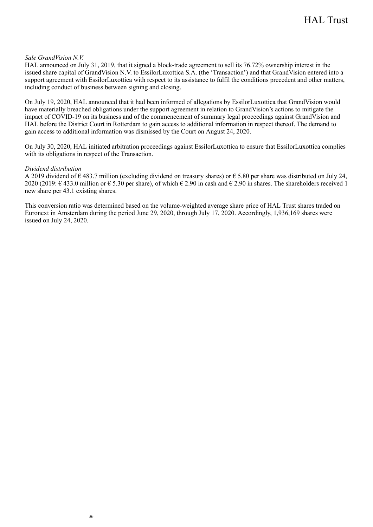### *Sale GrandVision N.V.*

HAL announced on July 31, 2019, that it signed a block-trade agreement to sell its 76.72% ownership interest in the issued share capital of GrandVision N.V. to EssilorLuxottica S.A. (the 'Transaction') and that GrandVision entered into a support agreement with EssilorLuxottica with respect to its assistance to fulfil the conditions precedent and other matters, including conduct of business between signing and closing.

On July 19, 2020, HAL announced that it had been informed of allegations by EssilorLuxottica that GrandVision would have materially breached obligations under the support agreement in relation to GrandVision's actions to mitigate the impact of COVID-19 on its business and of the commencement of summary legal proceedings against GrandVision and HAL before the District Court in Rotterdam to gain access to additional information in respect thereof. The demand to gain access to additional information was dismissed by the Court on August 24, 2020.

On July 30, 2020, HAL initiated arbitration proceedings against EssilorLuxottica to ensure that EssilorLuxottica complies with its obligations in respect of the Transaction.

#### *Dividend distribution*

A 2019 dividend of  $\epsilon$  483.7 million (excluding dividend on treasury shares) or  $\epsilon$  5.80 per share was distributed on July 24, 2020 (2019:  $\epsilon$  433.0 million or  $\epsilon$  5.30 per share), of which  $\epsilon$  2.90 in cash and  $\epsilon$  2.90 in shares. The shareholders received 1 new share per 43.1 existing shares.

This conversion ratio was determined based on the volume-weighted average share price of HAL Trust shares traded on Euronext in Amsterdam during the period June 29, 2020, through July 17, 2020. Accordingly, 1,936,169 shares were issued on July 24, 2020.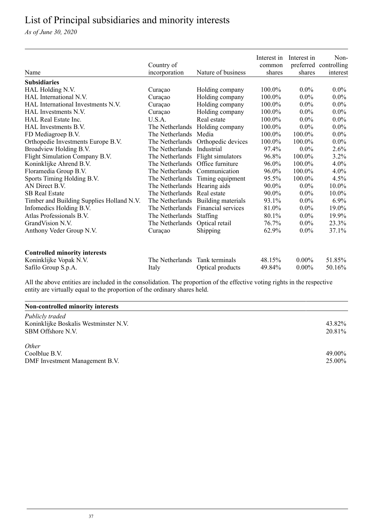# <span id="page-36-0"></span>List of Principal subsidiaries and minority interests

*As of June 30, 2020*

|                                           |                                  |                                    | Interest in | Interest in | Non-                  |
|-------------------------------------------|----------------------------------|------------------------------------|-------------|-------------|-----------------------|
|                                           | Country of                       |                                    | common      |             | preferred controlling |
| Name                                      | incorporation                    | Nature of business                 | shares      | shares      | interest              |
| <b>Subsidiaries</b>                       |                                  |                                    |             |             |                       |
| HAL Holding N.V.                          | Curaçao                          | Holding company                    | 100.0%      | $0.0\%$     | $0.0\%$               |
| HAL International N.V.                    | Curaçao                          | Holding company                    | 100.0%      | $0.0\%$     | $0.0\%$               |
| HAL International Investments N.V.        | Curaçao                          | Holding company                    | 100.0%      | $0.0\%$     | $0.0\%$               |
| HAL Investments N.V.                      | Curaçao                          | Holding company                    | 100.0%      | $0.0\%$     | $0.0\%$               |
| HAL Real Estate Inc.                      | U.S.A.                           | Real estate                        | 100.0%      | $0.0\%$     | $0.0\%$               |
| HAL Investments B.V.                      |                                  | The Netherlands Holding company    | 100.0%      | $0.0\%$     | $0.0\%$               |
| FD Mediagroep B.V.                        | The Netherlands Media            |                                    | $100.0\%$   | 100.0%      | $0.0\%$               |
| Orthopedie Investments Europe B.V.        |                                  | The Netherlands Orthopedic devices | 100.0%      | 100.0%      | $0.0\%$               |
| Broadview Holding B.V.                    | The Netherlands Industrial       |                                    | 97.4%       | $0.0\%$     | 2.6%                  |
| Flight Simulation Company B.V.            |                                  | The Netherlands Flight simulators  | 96.8%       | 100.0%      | $3.2\%$               |
| Koninklijke Ahrend B.V.                   | The Netherlands Office furniture |                                    | 96.0%       | 100.0%      | 4.0%                  |
| Floramedia Group B.V.                     | The Netherlands Communication    |                                    | 96.0%       | 100.0%      | 4.0%                  |
| Sports Timing Holding B.V.                |                                  | The Netherlands Timing equipment   | 95.5%       | 100.0%      | $4.5\%$               |
| AN Direct B.V.                            | The Netherlands Hearing aids     |                                    | 90.0%       | $0.0\%$     | 10.0%                 |
| <b>SB Real Estate</b>                     | The Netherlands Real estate      |                                    | 90.0%       | $0.0\%$     | 10.0%                 |
| Timber and Building Supplies Holland N.V. |                                  | The Netherlands Building materials | 93.1%       | $0.0\%$     | 6.9%                  |
| Infomedics Holding B.V.                   |                                  | The Netherlands Financial services | 81.0%       | $0.0\%$     | 19.0%                 |
| Atlas Professionals B.V.                  | The Netherlands Staffing         |                                    | 80.1%       | $0.0\%$     | 19.9%                 |
| GrandVision N.V.                          | The Netherlands Optical retail   |                                    | 76.7%       | $0.0\%$     | 23.3%                 |
| Anthony Veder Group N.V.                  | Curação                          | Shipping                           | 62.9%       | $0.0\%$     | 37.1%                 |
| <b>Controlled minority interests</b>      |                                  |                                    |             |             |                       |
| Koninklijke Vopak N.V.                    | The Netherlands                  | Tank terminals                     | 48.15%      | $0.00\%$    | 51.85%                |
| Safilo Group S.p.A.                       | Italy                            | Optical products                   | 49.84%      | $0.00\%$    | 50.16%                |

All the above entities are included in the consolidation. The proportion of the effective voting rights in the respective entity are virtually equal to the proportion of the ordinary shares held.

### **Non-controlled minority interests**

| Publicly traded<br>Koninklijke Boskalis Westminster N.V.<br>SBM Offshore N.V. | 43.82%<br>20.81% |
|-------------------------------------------------------------------------------|------------------|
| <i>Other</i>                                                                  |                  |
| Coolblue B.V.                                                                 | 49.00%           |
| DMF Investment Management B.V.                                                | 25.00%           |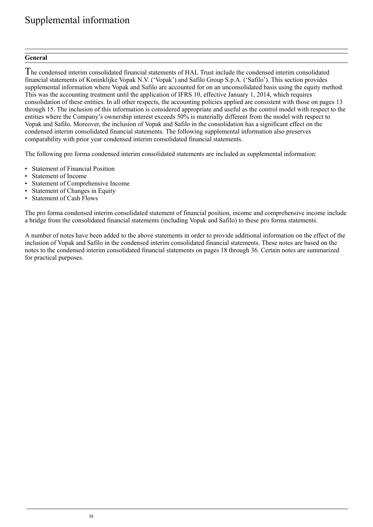# <span id="page-37-0"></span>Supplemental information

### **General**

The condensed interim consolidated financial statements of HAL Trust include the condensed interim consolidated financial statements of Koninklijke Vopak N.V. ('Vopak') and Safilo Group S.p.A. ('Safilo'). This section provides supplemental information where Vopak and Safilo are accounted for on an unconsolidated basis using the equity method. This was the accounting treatment until the application of IFRS 10, effective January 1, 2014, which requires consolidation of these entities. In all other respects, the accounting policies applied are consistent with those on pages 13 through 15. The inclusion of this information is considered appropriate and useful as the control model with respect to the entities where the Company's ownership interest exceeds 50% is materially different from the model with respect to Vopak and Safilo. Moreover, the inclusion of Vopak and Safilo in the consolidation has a significant effect on the condensed interim consolidated financial statements. The following supplemental information also preserves comparability with prior year condensed interim consolidated financial statements.

The following pro forma condensed interim consolidated statements are included as supplemental information:

- Statement of Financial Position
- Statement of Income
- Statement of Comprehensive Income
- Statement of Changes in Equity
- Statement of Cash Flows

The pro forma condensed interim consolidated statement of financial position, income and comprehensive income include a bridge from the consolidated financial statements (including Vopak and Safilo) to these pro forma statements.

A number of notes have been added to the above statements in order to provide additional information on the effect of the inclusion of Vopak and Safilo in the condensed interim consolidated financial statements. These notes are based on the notes to the condensed interim consolidated financial statements on pages 18 through 36. Certain notes are summarized for practical purposes.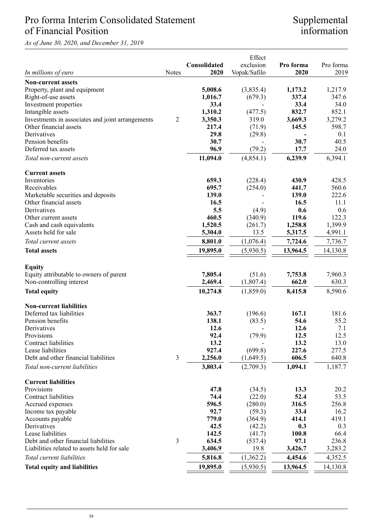# Pro forma Interim Consolidated Statement of Financial Position

*As of June 30, 2020, and December 31, 2019*

# Supplemental information

|                                                   | Effect         |              |              |           |           |
|---------------------------------------------------|----------------|--------------|--------------|-----------|-----------|
|                                                   |                | Consolidated | exclusion    | Pro forma | Pro forma |
| In millions of euro                               | Notes          | 2020         | Vopak/Safilo | 2020      | 2019      |
| <b>Non-current assets</b>                         |                |              |              |           |           |
| Property, plant and equipment                     |                | 5,008.6      | (3,835.4)    | 1,173.2   | 1,217.9   |
| Right-of-use assets                               |                | 1,016.7      | (679.3)      | 337.4     | 347.6     |
| Investment properties                             |                | 33.4         |              | 33.4      | 34.0      |
| Intangible assets                                 |                | 1,310.2      | (477.5)      | 832.7     | 852.1     |
| Investments in associates and joint arrangements  | $\overline{2}$ | 3,350.3      | 319.0        | 3,669.3   | 3,279.2   |
| Other financial assets                            |                | 217.4        | (71.9)       | 145.5     | 598.7     |
| Derivatives                                       |                | 29.8         | (29.8)       |           | 0.1       |
| Pension benefits                                  |                | 30.7         |              | 30.7      | 40.5      |
| Deferred tax assets                               |                | 96.9         | (79.2)       | 17.7      | 24.0      |
| Total non-current assets                          |                | 11,094.0     | (4, 854.1)   | 6,239.9   | 6.394.1   |
| <b>Current assets</b>                             |                |              |              |           |           |
| Inventories                                       |                | 659.3        | (228.4)      | 430.9     | 428.5     |
| Receivables                                       |                | 695.7        | (254.0)      | 441.7     | 560.6     |
| Marketable securities and deposits                |                | 139.0        |              | 139.0     | 222.6     |
| Other financial assets                            |                | 16.5         |              | 16.5      | 11.1      |
| Derivatives                                       |                | 5.5          | (4.9)        | 0.6       | 0.6       |
| Other current assets                              |                | 460.5        | (340.9)      | 119.6     | 122.3     |
| Cash and cash equivalents<br>Assets held for sale |                | 1,520.5      | (261.7)      | 1,258.8   | 1,399.9   |
|                                                   |                | 5,304.0      | 13.5         | 5,317.5   | 4,991.1   |
| Total current assets                              |                | 8,801.0      | (1,076.4)    | 7,724.6   | 7,736.7   |
| <b>Total assets</b>                               |                | 19,895.0     | (5,930.5)    | 13,964.5  | 14,130.8  |
| <b>Equity</b>                                     |                |              |              |           |           |
| Equity attributable to owners of parent           |                | 7.805.4      | (51.6)       | 7.753.8   | 7,960.3   |
| Non-controlling interest                          |                | 2,469.4      | (1,807.4)    | 662.0     | 630.3     |
| <b>Total equity</b>                               |                | 10,274.8     | (1,859.0)    | 8,415.8   | 8,590.6   |
| <b>Non-current liabilities</b>                    |                |              |              |           |           |
| Deferred tax liabilities                          |                | 363.7        | (196.6)      | 167.1     | 181.6     |
| Pension benefits                                  |                | 138.1        | (83.5)       | 54.6      | 55.2      |
| Derivatives                                       |                | 12.6         |              | 12.6      | 7.1       |
| Provisions                                        |                | 92.4         | (79.9)       | 12.5      | 12.5      |
| Contract liabilities                              |                | 13.2         |              | 13.2      | 13.0      |
| Lease liabilities                                 |                | 927.4        | (699.8)      | 227.6     | 277.5     |
| Debt and other financial liabilities              | 3              | 2,256.0      | (1,649.5)    | 606.5     | 640.8     |
| Total non-current liabilities                     |                | 3,803.4      | (2,709.3)    | 1,094.1   | 1,187.7   |
| <b>Current liabilities</b>                        |                |              |              |           |           |
| Provisions                                        |                | 47.8         | (34.5)       | 13.3      | 20.2      |
| Contract liabilities                              |                | 74.4         | (22.0)       | 52.4      | 53.5      |
| Accrued expenses                                  |                | 596.5        | (280.0)      | 316.5     | 256.8     |
| Income tax payable                                |                | 92.7         | (59.3)       | 33.4      | 16.2      |
| Accounts payable                                  |                | 779.0        | (364.9)      | 414.1     | 419.1     |
| Derivatives                                       |                | 42.5         | (42.2)       | 0.3       | 0.3       |
| Lease liabilities                                 |                | 142.5        | (41.7)       | 100.8     | 66.4      |
| Debt and other financial liabilities              | 3              | 634.5        | (537.4)      | 97.1      | 236.8     |
| Liabilities related to assets held for sale       |                | 3,406.9      | 19.8         | 3,426.7   | 3,283.2   |
| Total current liabilities                         |                | 5,816.8      | (1,362.2)    | 4,454.6   | 4,352.5   |
| <b>Total equity and liabilities</b>               |                | 19,895.0     | (5,930.5)    | 13,964.5  | 14,130.8  |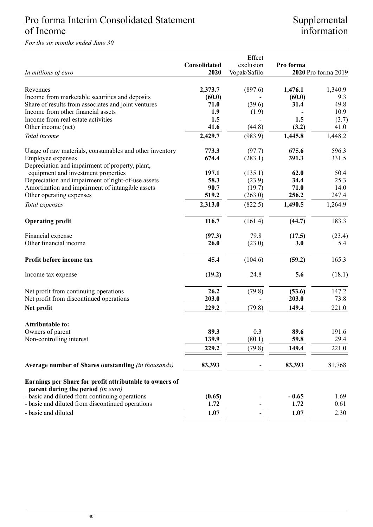# Pro forma Interim Consolidated Statement of Income

*For the six months ended June 30*

# Supplemental information

|                                                         |              | Effect       |           |                     |
|---------------------------------------------------------|--------------|--------------|-----------|---------------------|
|                                                         | Consolidated | exclusion    | Pro forma |                     |
| In millions of euro                                     | 2020         | Vopak/Safilo |           | 2020 Pro forma 2019 |
|                                                         |              |              |           |                     |
| Revenues                                                | 2,373.7      | (897.6)      | 1,476.1   | 1,340.9             |
| Income from marketable securities and deposits          | (60.0)       |              | (60.0)    | 9.3                 |
| Share of results from associates and joint ventures     | 71.0         | (39.6)       | 31.4      | 49.8                |
| Income from other financial assets                      | 1.9          | (1.9)        |           | 10.9                |
| Income from real estate activities                      | 1.5          |              | 1.5       | (3.7)               |
| Other income (net)                                      | 41.6         | (44.8)       | (3.2)     | 41.0                |
|                                                         |              |              |           |                     |
| Total income                                            | 2,429.7      | (983.9)      | 1,445.8   | 1,448.2             |
| Usage of raw materials, consumables and other inventory | 773.3        | (97.7)       | 675.6     | 596.3               |
| Employee expenses                                       | 674.4        | (283.1)      | 391.3     | 331.5               |
| Depreciation and impairment of property, plant,         |              |              |           |                     |
| equipment and investment properties                     | 197.1        | (135.1)      | 62.0      | 50.4                |
| Depreciation and impairment of right-of-use assets      | 58.3         | (23.9)       | 34.4      | 25.3                |
| Amortization and impairment of intangible assets        | 90.7         | (19.7)       | 71.0      | 14.0                |
| Other operating expenses                                | 519.2        | (263.0)      | 256.2     | 247.4               |
| Total expenses                                          | 2,313.0      | (822.5)      | 1,490.5   | 1,264.9             |
|                                                         |              |              |           |                     |
| <b>Operating profit</b>                                 | 116.7        | (161.4)      | (44.7)    | 183.3               |
| Financial expense                                       | (97.3)       | 79.8         | (17.5)    | (23.4)              |
| Other financial income                                  | 26.0         | (23.0)       | 3.0       | 5.4                 |
|                                                         |              |              |           |                     |
| Profit before income tax                                | 45.4         | (104.6)      | (59.2)    | 165.3               |
| Income tax expense                                      | (19.2)       | 24.8         | 5.6       | (18.1)              |
| Net profit from continuing operations                   | 26.2         | (79.8)       | (53.6)    | 147.2               |
| Net profit from discontinued operations                 | 203.0        |              | 203.0     | 73.8                |
| Net profit                                              | 229.2        | (79.8)       | 149.4     | 221.0               |
|                                                         |              |              |           |                     |
| <b>Attributable to:</b>                                 |              |              |           |                     |
| Owners of parent                                        | 89.3         | 0.3          | 89.6      | 191.6               |
| Non-controlling interest                                | 139.9        | (80.1)       | 59.8      | 29.4                |
|                                                         | 229.2        | (79.8)       | 149.4     | 221.0               |
| Average number of Shares outstanding (in thousands)     | 83,393       |              | 83,393    | 81,768              |
| Earnings per Share for profit attributable to owners of |              |              |           |                     |
| parent during the period (in euro)                      |              |              |           |                     |
| - basic and diluted from continuing operations          | (0.65)       |              | $-0.65$   | 1.69                |
| - basic and diluted from discontinued operations        | 1.72         |              | 1.72      | 0.61                |
| - basic and diluted                                     | 1.07         |              | 1.07      | 2.30                |
|                                                         |              |              |           |                     |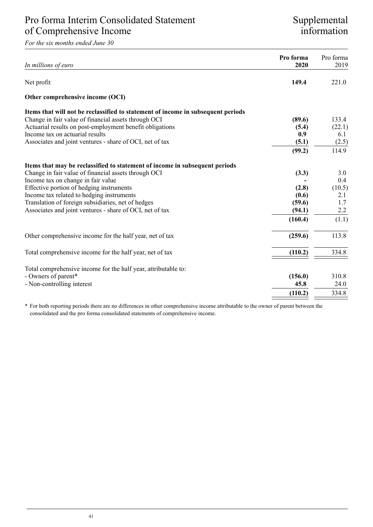# Pro forma Interim Consolidated Statement of Comprehensive Income

*For the six months ended June 30*

## Supplemental information

| In millions of euro                                                              | Pro forma<br>2020 | Pro forma<br>2019 |
|----------------------------------------------------------------------------------|-------------------|-------------------|
| Net profit                                                                       | 149.4             | 221.0             |
| Other comprehensive income (OCI)                                                 |                   |                   |
| Items that will not be reclassified to statement of income in subsequent periods |                   |                   |
| Change in fair value of financial assets through OCI                             | (89.6)            | 133.4             |
| Actuarial results on post-employment benefit obligations                         | (5.4)             | (22.1)            |
| Income tax on actuarial results                                                  | 0.9               | 6.1               |
| Associates and joint ventures - share of OCI, net of tax                         | (5.1)             | (2.5)             |
|                                                                                  | (99.2)            | 114.9             |
| Items that may be reclassified to statement of income in subsequent periods      |                   |                   |
| Change in fair value of financial assets through OCI                             | (3.3)             | 3.0               |
| Income tax on change in fair value                                               |                   | 0.4               |
| Effective portion of hedging instruments                                         | (2.8)             | (10.5)            |
| Income tax related to hedging instruments                                        | (0.6)             | 2.1               |
| Translation of foreign subsidiaries, net of hedges                               | (59.6)            | 1.7               |
| Associates and joint ventures - share of OCI, net of tax                         | (94.1)            | 2.2               |
|                                                                                  | (160.4)           | (1.1)             |
| Other comprehensive income for the half year, net of tax                         | (259.6)           | 113.8             |
| Total comprehensive income for the half year, net of tax                         | (110.2)           | 334.8             |
|                                                                                  |                   |                   |
| Total comprehensive income for the half year, attributable to:                   |                   |                   |
| - Owners of parent*                                                              | (156.0)           | 310.8             |
| - Non-controlling interest                                                       | 45.8              | 24.0              |
|                                                                                  | (110.2)           | 334.8             |

\* For both reporting periods there are no differences in other comprehensive income attributable to the owner of parent between the consolidated and the pro forma consolidated statements of comprehensive income.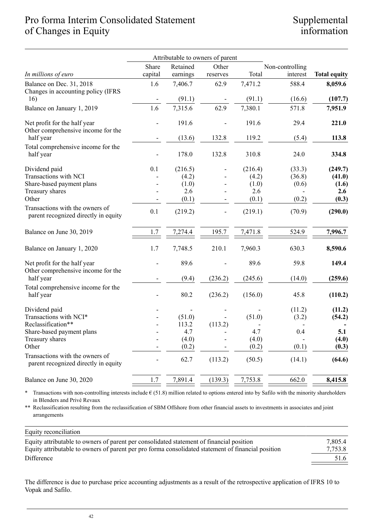# Pro forma Interim Consolidated Statement of Changes in Equity

# Supplemental information

|                                                                         |         | Attributable to owners of parent |          |                |                 |                     |
|-------------------------------------------------------------------------|---------|----------------------------------|----------|----------------|-----------------|---------------------|
|                                                                         | Share   | Retained                         | Other    |                | Non-controlling |                     |
| In millions of euro                                                     | capital | earnings                         | reserves | Total          | interest        | <b>Total equity</b> |
| Balance on Dec. 31, 2018<br>Changes in accounting policy (IFRS          | 1.6     | 7,406.7                          | 62.9     | 7,471.2        | 588.4           | 8,059.6             |
| 16)                                                                     |         | (91.1)                           |          | (91.1)         | (16.6)          | (107.7)             |
| Balance on January 1, 2019                                              | 1.6     | 7,315.6                          | 62.9     | 7,380.1        | 571.8           | 7,951.9             |
| Net profit for the half year<br>Other comprehensive income for the      |         | 191.6                            |          | 191.6          | 29.4            | 221.0               |
| half year                                                               |         | (13.6)                           | 132.8    | 119.2          | (5.4)           | 113.8               |
| Total comprehensive income for the<br>half year                         |         | 178.0                            | 132.8    | 310.8          | 24.0            | 334.8               |
| Dividend paid                                                           | 0.1     | (216.5)                          |          | (216.4)        | (33.3)          | (249.7)             |
| Transactions with NCI                                                   |         | (4.2)                            |          | (4.2)          | (36.8)          | (41.0)              |
| Share-based payment plans                                               |         | (1.0)                            |          | (1.0)          | (0.6)           | (1.6)               |
| Treasury shares<br>Other                                                |         | 2.6                              |          | 2.6            |                 | 2.6                 |
|                                                                         |         | (0.1)                            |          | (0.1)          | (0.2)           | (0.3)               |
| Transactions with the owners of<br>parent recognized directly in equity | 0.1     | (219.2)                          |          | (219.1)        | (70.9)          | (290.0)             |
| Balance on June 30, 2019                                                | 1.7     | 7,274.4                          | 195.7    | 7,471.8        | 524.9           | 7,996.7             |
| Balance on January 1, 2020                                              | 1.7     | 7,748.5                          | 210.1    | 7,960.3        | 630.3           | 8,590.6             |
| Net profit for the half year<br>Other comprehensive income for the      |         | 89.6                             |          | 89.6           | 59.8            | 149.4               |
| half year                                                               |         | (9.4)                            | (236.2)  | (245.6)        | (14.0)          | (259.6)             |
| Total comprehensive income for the<br>half year                         |         | 80.2                             | (236.2)  | (156.0)        | 45.8            | (110.2)             |
| Dividend paid                                                           |         |                                  |          |                | (11.2)          | (11.2)              |
| Transactions with NCI*                                                  |         | (51.0)                           |          | (51.0)         | (3.2)           | (54.2)              |
| Reclassification**                                                      |         | 113.2                            | (113.2)  |                |                 |                     |
| Share-based payment plans                                               |         | 4.7                              |          | 4.7            | 0.4             | 5.1                 |
| Treasury shares<br>Other                                                |         | (4.0)                            |          | (4.0)<br>(0.2) | (0.1)           | (4.0)               |
|                                                                         |         | (0.2)                            |          |                |                 | (0.3)               |
| Transactions with the owners of<br>parent recognized directly in equity |         | 62.7                             | (113.2)  | (50.5)         | (14.1)          | (64.6)              |
| Balance on June 30, 2020                                                | 1.7     | 7,891.4                          | (139.3)  | 7,753.8        | 662.0           | 8,415.8             |

\* Transactions with non-controlling interests include € (51.8) million related to options entered into by Safilo with the minority shareholders in Blenders and Privé Revaux

\*\* Reclassification resulting from the reclassification of SBM Offshore from other financial assets to investments in associates and joint arrangements

### Equity reconciliation

| Equity attributable to owners of parent per consolidated statement of financial position           | 7,805.4 |
|----------------------------------------------------------------------------------------------------|---------|
| Equity attributable to owners of parent per pro forma consolidated statement of financial position | 7.753.8 |
| Difference                                                                                         | 51.6    |

The difference is due to purchase price accounting adjustments as a result of the retrospective application of IFRS 10 to Vopak and Safilo.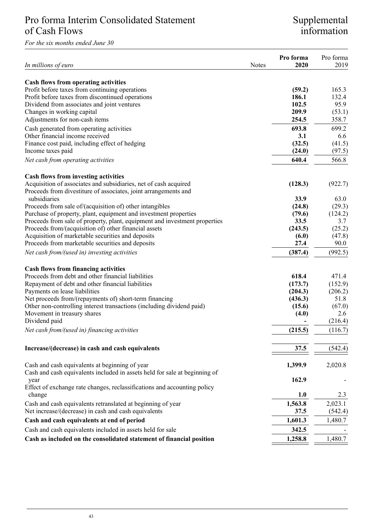# Pro forma Interim Consolidated Statement of Cash Flows

*For the six months ended June 30*

# Supplemental information

| In millions of euro                                                                                                                 | Notes | Pro forma<br>2020 | Pro forma<br>2019 |
|-------------------------------------------------------------------------------------------------------------------------------------|-------|-------------------|-------------------|
|                                                                                                                                     |       |                   |                   |
| Cash flows from operating activities<br>Profit before taxes from continuing operations                                              |       | (59.2)            | 165.3             |
| Profit before taxes from discontinued operations                                                                                    |       | 186.1             | 132.4             |
| Dividend from associates and joint ventures                                                                                         |       | 102.5             | 95.9              |
| Changes in working capital                                                                                                          |       | 209.9             | (53.1)            |
| Adjustments for non-cash items                                                                                                      |       | 254.5             | 358.7             |
| Cash generated from operating activities                                                                                            |       | 693.8             | 699.2             |
| Other financial income received                                                                                                     |       | 3.1               | 6.6               |
| Finance cost paid, including effect of hedging                                                                                      |       | (32.5)            | (41.5)            |
| Income taxes paid                                                                                                                   |       | (24.0)            | (97.5)            |
| Net cash from operating activities                                                                                                  |       | 640.4             | 566.8             |
|                                                                                                                                     |       |                   |                   |
| <b>Cash flows from investing activities</b>                                                                                         |       |                   |                   |
| Acquisition of associates and subsidiaries, net of cash acquired<br>Proceeds from divestiture of associates, joint arrangements and |       | (128.3)           | (922.7)           |
| subsidiaries                                                                                                                        |       | 33.9              | 63.0              |
| Proceeds from sale of/(acquisition of) other intangibles                                                                            |       | (24.8)            | (29.3)            |
| Purchase of property, plant, equipment and investment properties                                                                    |       | (79.6)            | (124.2)           |
| Proceeds from sale of property, plant, equipment and investment properties                                                          |       | 33.5              | 3.7               |
| Proceeds from/(acquisition of) other financial assets                                                                               |       | (243.5)           | (25.2)            |
| Acquisition of marketable securities and deposits                                                                                   |       | (6.0)             | (47.8)            |
| Proceeds from marketable securities and deposits                                                                                    |       | 27.4              | 90.0              |
| Net cash from/(used in) investing activities                                                                                        |       | (387.4)           | (992.5)           |
| <b>Cash flows from financing activities</b>                                                                                         |       |                   |                   |
| Proceeds from debt and other financial liabilities                                                                                  |       | 618.4             | 471.4             |
| Repayment of debt and other financial liabilities                                                                                   |       | (173.7)           | (152.9)           |
| Payments on lease liabilities                                                                                                       |       | (204.3)           | (206.2)           |
| Net proceeds from/(repayments of) short-term financing                                                                              |       | (436.3)           | 51.8              |
| Other non-controlling interest transactions (including dividend paid)                                                               |       | (15.6)            | (67.0)            |
| Movement in treasury shares                                                                                                         |       | (4.0)             | 2.6               |
| Dividend paid                                                                                                                       |       |                   | (216.4)           |
| Net cash from/(used in) financing activities                                                                                        |       | (215.5)           | (116.7)           |
|                                                                                                                                     |       |                   |                   |
| Increase/(decrease) in cash and cash equivalents                                                                                    |       | 37.5              | (542.4)           |
| Cash and cash equivalents at beginning of year                                                                                      |       | 1,399.9           | 2,020.8           |
| Cash and cash equivalents included in assets held for sale at beginning of                                                          |       |                   |                   |
| year                                                                                                                                |       | 162.9             |                   |
| Effect of exchange rate changes, reclassifications and accounting policy<br>change                                                  |       | 1.0               | 2.3               |
| Cash and cash equivalents retranslated at beginning of year                                                                         |       | 1,563.8           | 2.023.1           |
| Net increase/(decrease) in cash and cash equivalents                                                                                |       | 37.5              | (542.4)           |
| Cash and cash equivalents at end of period                                                                                          |       | 1,601.3           | 1,480.7           |
|                                                                                                                                     |       |                   |                   |
| Cash and cash equivalents included in assets held for sale                                                                          |       | 342.5             |                   |
| Cash as included on the consolidated statement of financial position                                                                |       | 1,258.8           | 1,480.7           |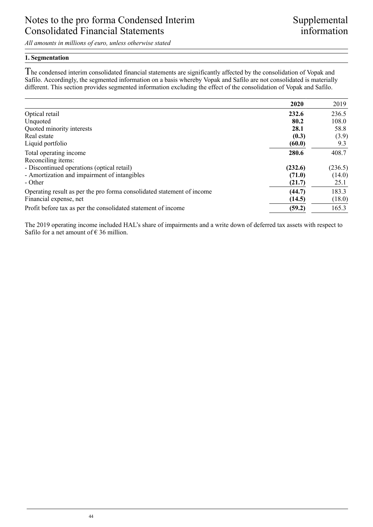*All amounts in millions of euro, unless otherwise stated*

### **1. Segmentation**

he condensed interim consolidated financial statements are significantly affected by the consolidation of Vopak and T Safilo. Accordingly, the segmented information on a basis whereby Vopak and Safilo are not consolidated is materially different. This section provides segmented information excluding the effect of the consolidation of Vopak and Safilo.

|                                                                        | 2020    | 2019    |
|------------------------------------------------------------------------|---------|---------|
| Optical retail                                                         | 232.6   | 236.5   |
| Unquoted                                                               | 80.2    | 108.0   |
| Quoted minority interests                                              | 28.1    | 58.8    |
| Real estate                                                            | (0.3)   | (3.9)   |
| Liquid portfolio                                                       | (60.0)  | 9.3     |
| Total operating income                                                 | 280.6   | 408.7   |
| Reconciling items:                                                     |         |         |
| - Discontinued operations (optical retail)                             | (232.6) | (236.5) |
| - Amortization and impairment of intangibles                           | (71.0)  | (14.0)  |
| - Other                                                                | (21.7)  | 25.1    |
| Operating result as per the pro forma consolidated statement of income | (44.7)  | 183.3   |
| Financial expense, net                                                 | (14.5)  | (18.0)  |
| Profit before tax as per the consolidated statement of income          | (59.2)  | 165.3   |

The 2019 operating income included HAL's share of impairments and a write down of deferred tax assets with respect to Safilo for a net amount of  $\epsilon$  36 million.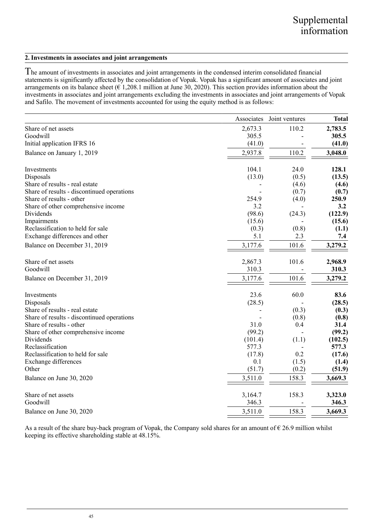### **2. Investments in associates and joint arrangements**

The amount of investments in associates and joint arrangements in the condensed interim consolidated financial statements is significantly affected by the consolidation of Vopak. Vopak has a significant amount of associates and joint arrangements on its balance sheet ( $\epsilon$  1,208.1 million at June 30, 2020). This section provides information about the investments in associates and joint arrangements excluding the investments in associates and joint arrangements of Vopak and Safilo. The movement of investments accounted for using the equity method is as follows:

|                                            | Associates | Joint ventures | <b>Total</b> |
|--------------------------------------------|------------|----------------|--------------|
| Share of net assets                        | 2,673.3    | 110.2          | 2,783.5      |
| Goodwill                                   | 305.5      |                | 305.5        |
| Initial application IFRS 16                | (41.0)     |                | (41.0)       |
| Balance on January 1, 2019                 | 2,937.8    | 110.2          | 3,048.0      |
| Investments                                | 104.1      | 24.0           | 128.1        |
| Disposals                                  | (13.0)     | (0.5)          | (13.5)       |
| Share of results - real estate             |            | (4.6)          | (4.6)        |
| Share of results - discontinued operations |            | (0.7)          | (0.7)        |
| Share of results - other                   | 254.9      | (4.0)          | 250.9        |
| Share of other comprehensive income        | 3.2        |                | 3.2          |
| Dividends                                  | (98.6)     | (24.3)         | (122.9)      |
| Impairments                                | (15.6)     |                | (15.6)       |
| Reclassification to held for sale          | (0.3)      | (0.8)          | (1.1)        |
| Exchange differences and other             | 5.1        | 2.3            | 7.4          |
| Balance on December 31, 2019               | 3,177.6    | 101.6          | 3,279.2      |
| Share of net assets                        | 2,867.3    | 101.6          | 2,968.9      |
| Goodwill                                   | 310.3      |                | 310.3        |
| Balance on December 31, 2019               | 3,177.6    | 101.6          | 3,279.2      |
| Investments                                | 23.6       | 60.0           | 83.6         |
| Disposals                                  | (28.5)     |                | (28.5)       |
| Share of results - real estate             |            | (0.3)          | (0.3)        |
| Share of results - discontinued operations |            | (0.8)          | (0.8)        |
| Share of results - other                   | 31.0       | 0.4            | 31.4         |
| Share of other comprehensive income        | (99.2)     |                | (99.2)       |
| Dividends                                  | (101.4)    | (1.1)          | (102.5)      |
| Reclassification                           | 577.3      |                | 577.3        |
| Reclassification to held for sale          | (17.8)     | 0.2            | (17.6)       |
| Exchange differences                       | 0.1        | (1.5)          | (1.4)        |
| Other                                      | (51.7)     | (0.2)          | (51.9)       |
| Balance on June 30, 2020                   | 3,511.0    | 158.3          | 3,669.3      |
| Share of net assets                        | 3,164.7    | 158.3          | 3,323.0      |
| Goodwill                                   | 346.3      |                | 346.3        |
| Balance on June 30, 2020                   | 3,511.0    | 158.3          | 3,669.3      |

As a result of the share buy-back program of Vopak, the Company sold shares for an amount of  $\epsilon$  26.9 million whilst keeping its effective shareholding stable at 48.15%.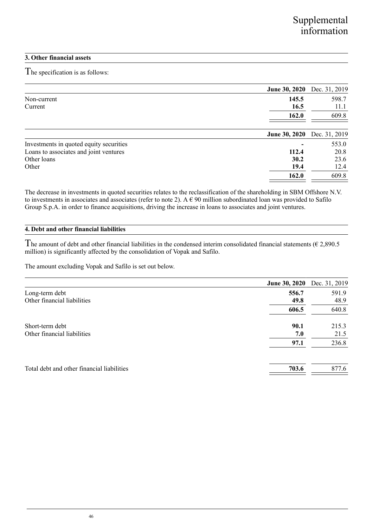### **3. Other financial assets**

he specification is as follows: T

|                                         |                      | June 30, 2020 Dec. 31, 2019 |
|-----------------------------------------|----------------------|-----------------------------|
| Non-current                             | 145.5                | 598.7                       |
| Current                                 | 16.5                 | 11.1                        |
|                                         | 162.0                | 609.8                       |
|                                         | <b>June 30, 2020</b> | Dec. 31, 2019               |
| Investments in quoted equity securities |                      | 553.0                       |
| Loans to associates and joint ventures  | 112.4                | 20.8                        |
| Other loans                             | 30.2                 | 23.6                        |
| Other                                   | 19.4                 | 12.4                        |
|                                         | 162.0                | 609.8                       |

The decrease in investments in quoted securities relates to the reclassification of the shareholding in SBM Offshore N.V. to investments in associates and associates (refer to note 2). A  $\epsilon$  90 million subordinated loan was provided to Safilo Group S.p.A. in order to finance acquisitions, driving the increase in loans to associates and joint ventures.

### **4. Debt and other financial liabilities**

The amount of debt and other financial liabilities in the condensed interim consolidated financial statements ( $\epsilon$  2,890.5 million) is significantly affected by the consolidation of Vopak and Safilo.

The amount excluding Vopak and Safilo is set out below.

|                                            | June 30, 2020 Dec. 31, 2019 |       |
|--------------------------------------------|-----------------------------|-------|
| Long-term debt                             | 556.7                       | 591.9 |
| Other financial liabilities                | 49.8                        | 48.9  |
|                                            | 606.5                       | 640.8 |
| Short-term debt                            | 90.1                        | 215.3 |
| Other financial liabilities                | 7.0                         | 21.5  |
|                                            | 97.1                        | 236.8 |
|                                            |                             |       |
| Total debt and other financial liabilities | 703.6                       | 877.6 |